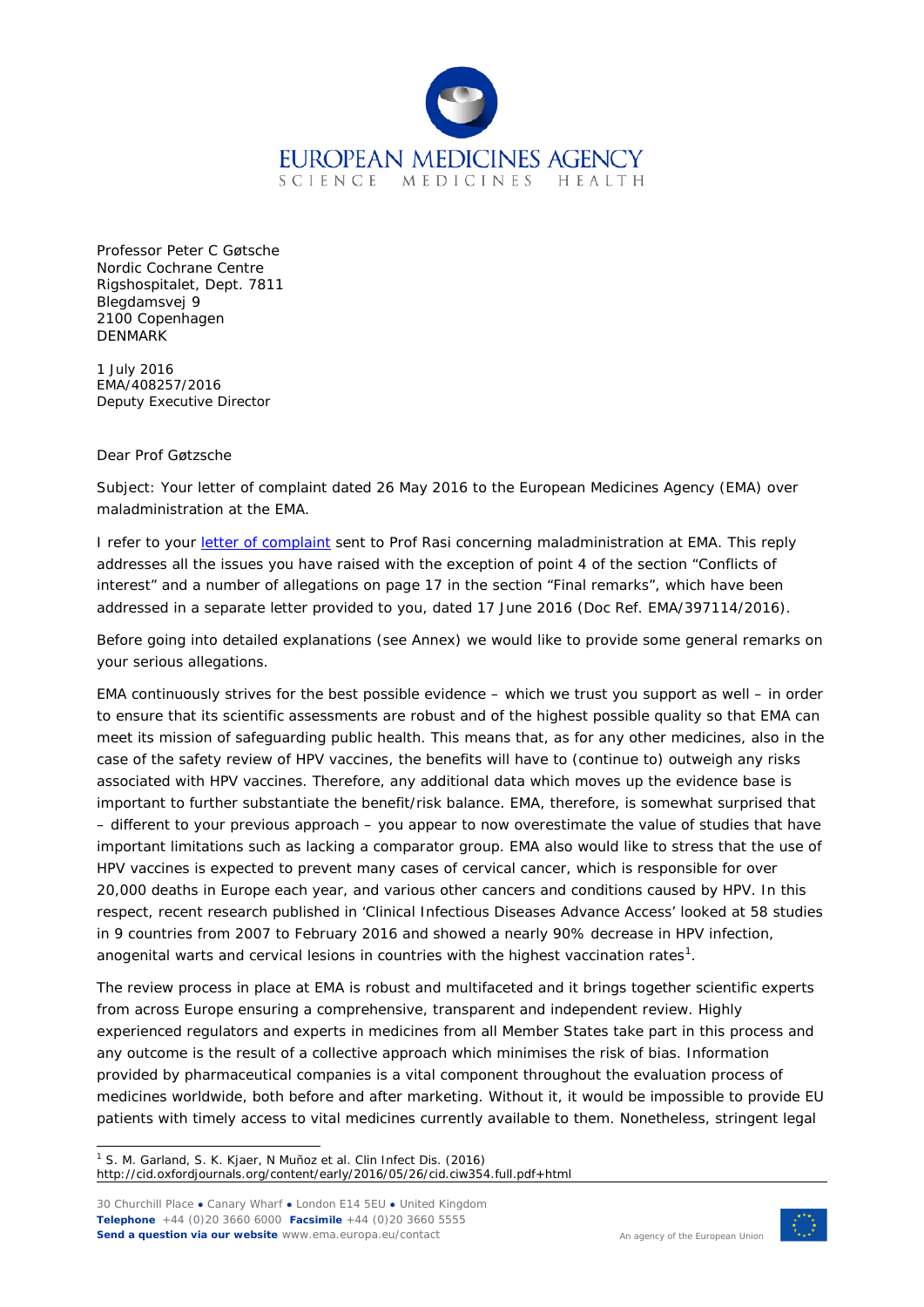

Professor Peter C Gøtsche Nordic Cochrane Centre Rigshospitalet, Dept. 7811 Blegdamsvej 9 2100 Copenhagen **DENMARK** 

1 July 2016 EMA/408257/2016 Deputy Executive Director

## Dear Prof Gøtzsche

Subject: Your letter of complaint dated 26 May 2016 to the European Medicines Agency (EMA) over maladministration at the EMA.

I refer to your [letter of complaint](http://nordic.cochrane.org/sites/nordic.cochrane.org/files/uploads/ResearchHighlights/Complaint-to-EMA-over-EMA.pdf) sent to Prof Rasi concerning maladministration at EMA. This reply addresses all the issues you have raised with the exception of point 4 of the section "Conflicts of interest" and a number of allegations on page 17 in the section "Final remarks", which have been addressed in a separate letter provided to you, dated 17 June 2016 (Doc Ref. EMA/397114/2016).

Before going into detailed explanations (see Annex) we would like to provide some general remarks on your serious allegations.

EMA continuously strives for the best possible evidence – which we trust you support as well – in order to ensure that its scientific assessments are robust and of the highest possible quality so that EMA can meet its mission of safeguarding public health. This means that, as for any other medicines, also in the case of the safety review of HPV vaccines, the benefits will have to (continue to) outweigh any risks associated with HPV vaccines. Therefore, any additional data which moves up the evidence base is important to further substantiate the benefit/risk balance. EMA, therefore, is somewhat surprised that – different to your previous approach – you appear to now overestimate the value of studies that have important limitations such as lacking a comparator group. EMA also would like to stress that the use of HPV vaccines is expected to prevent many cases of cervical cancer, which is responsible for over 20,000 deaths in Europe each year, and various other cancers and conditions caused by HPV. In this respect, recent research published in 'Clinical Infectious Diseases Advance Access' looked at 58 studies in 9 countries from 2007 to February 2016 and showed a nearly 90% decrease in HPV infection, anogenital warts and cervical lesions in countries with the highest vaccination rates $^1$  $^1$ .

The review process in place at EMA is robust and multifaceted and it brings together scientific experts from across Europe ensuring a comprehensive, transparent and independent review. Highly experienced regulators and experts in medicines from all Member States take part in this process and any outcome is the result of a collective approach which minimises the risk of bias. Information provided by pharmaceutical companies is a vital component throughout the evaluation process of medicines worldwide, both before and after marketing. Without it, it would be impossible to provide EU patients with timely access to vital medicines currently available to them. Nonetheless, stringent legal

<span id="page-0-0"></span> 1 S. M. Garland, S. K. Kjaer, N Muñoz et al. *Clin Infect Dis. (2016)* http://cid.oxfordjournals.org/content/early/2016/05/26/cid.ciw354.full.pdf+html

30 Churchill Place **●** Canary Wharf **●** London E14 5EU **●** United Kingdom **Telephone** +44 (0)20 3660 6000 **Facsimile** +44 (0)20 3660 5555 **Send a question via our website** www.ema.europa.eu/contact

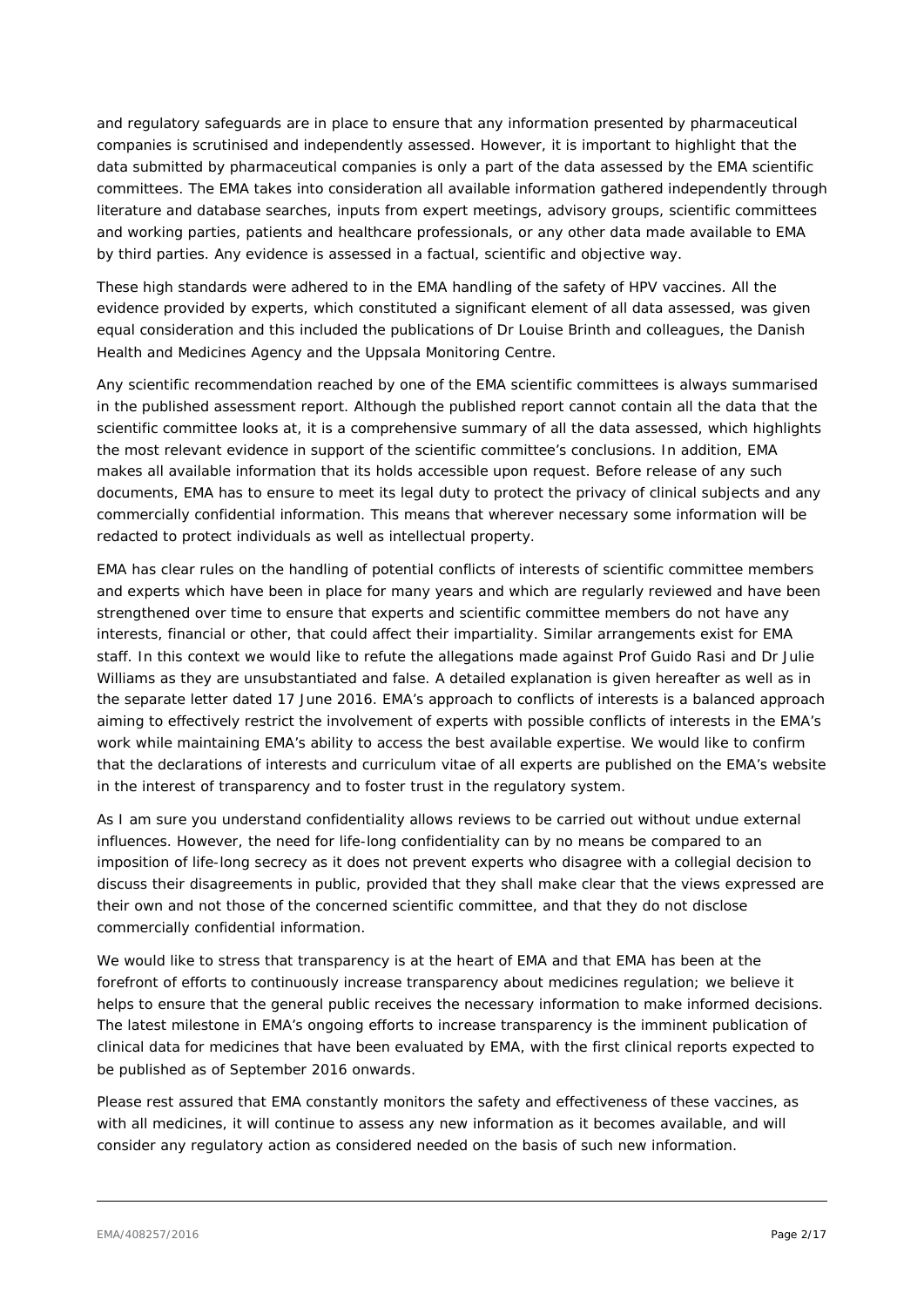and regulatory safeguards are in place to ensure that any information presented by pharmaceutical companies is scrutinised and independently assessed. However, it is important to highlight that the data submitted by pharmaceutical companies is only a part of the data assessed by the EMA scientific committees. The EMA takes into consideration all available information gathered independently through literature and database searches, inputs from expert meetings, advisory groups, scientific committees and working parties, patients and healthcare professionals, or any other data made available to EMA by third parties. Any evidence is assessed in a factual, scientific and objective way.

These high standards were adhered to in the EMA handling of the safety of HPV vaccines. All the evidence provided by experts, which constituted a significant element of all data assessed, was given equal consideration and this included the publications of Dr Louise Brinth and colleagues, the Danish Health and Medicines Agency and the Uppsala Monitoring Centre.

Any scientific recommendation reached by one of the EMA scientific committees is always summarised in the published assessment report. Although the published report cannot contain all the data that the scientific committee looks at, it is a comprehensive summary of all the data assessed, which highlights the most relevant evidence in support of the scientific committee's conclusions. In addition, EMA makes all available information that its holds accessible upon request. Before release of any such documents, EMA has to ensure to meet its legal duty to protect the privacy of clinical subjects and any commercially confidential information. This means that wherever necessary some information will be redacted to protect individuals as well as intellectual property.

EMA has clear rules on the handling of potential conflicts of interests of scientific committee members and experts which have been in place for many years and which are regularly reviewed and have been strengthened over time to ensure that experts and scientific committee members do not have any interests, financial or other, that could affect their impartiality. Similar arrangements exist for EMA staff. In this context we would like to refute the allegations made against Prof Guido Rasi and Dr Julie Williams as they are unsubstantiated and false. A detailed explanation is given hereafter as well as in the separate letter dated 17 June 2016. EMA's approach to conflicts of interests is a balanced approach aiming to effectively restrict the involvement of experts with possible conflicts of interests in the EMA's work while maintaining EMA's ability to access the best available expertise. We would like to confirm that the declarations of interests and curriculum vitae of all experts are published on the EMA's website in the interest of transparency and to foster trust in the regulatory system.

As I am sure you understand confidentiality allows reviews to be carried out without undue external influences. However, the need for life-long confidentiality can by no means be compared to an imposition of life-long secrecy as it does not prevent experts who disagree with a collegial decision to discuss their disagreements in public, provided that they shall make clear that the views expressed are their own and not those of the concerned scientific committee, and that they do not disclose commercially confidential information.

We would like to stress that transparency is at the heart of EMA and that EMA has been at the forefront of efforts to continuously increase transparency about medicines regulation; we believe it helps to ensure that the general public receives the necessary information to make informed decisions. The latest milestone in EMA's ongoing efforts to increase transparency is the imminent publication of clinical data for medicines that have been evaluated by EMA, with the first clinical reports expected to be published as of September 2016 onwards.

Please rest assured that EMA constantly monitors the safety and effectiveness of these vaccines, as with all medicines, it will continue to assess any new information as it becomes available, and will consider any regulatory action as considered needed on the basis of such new information.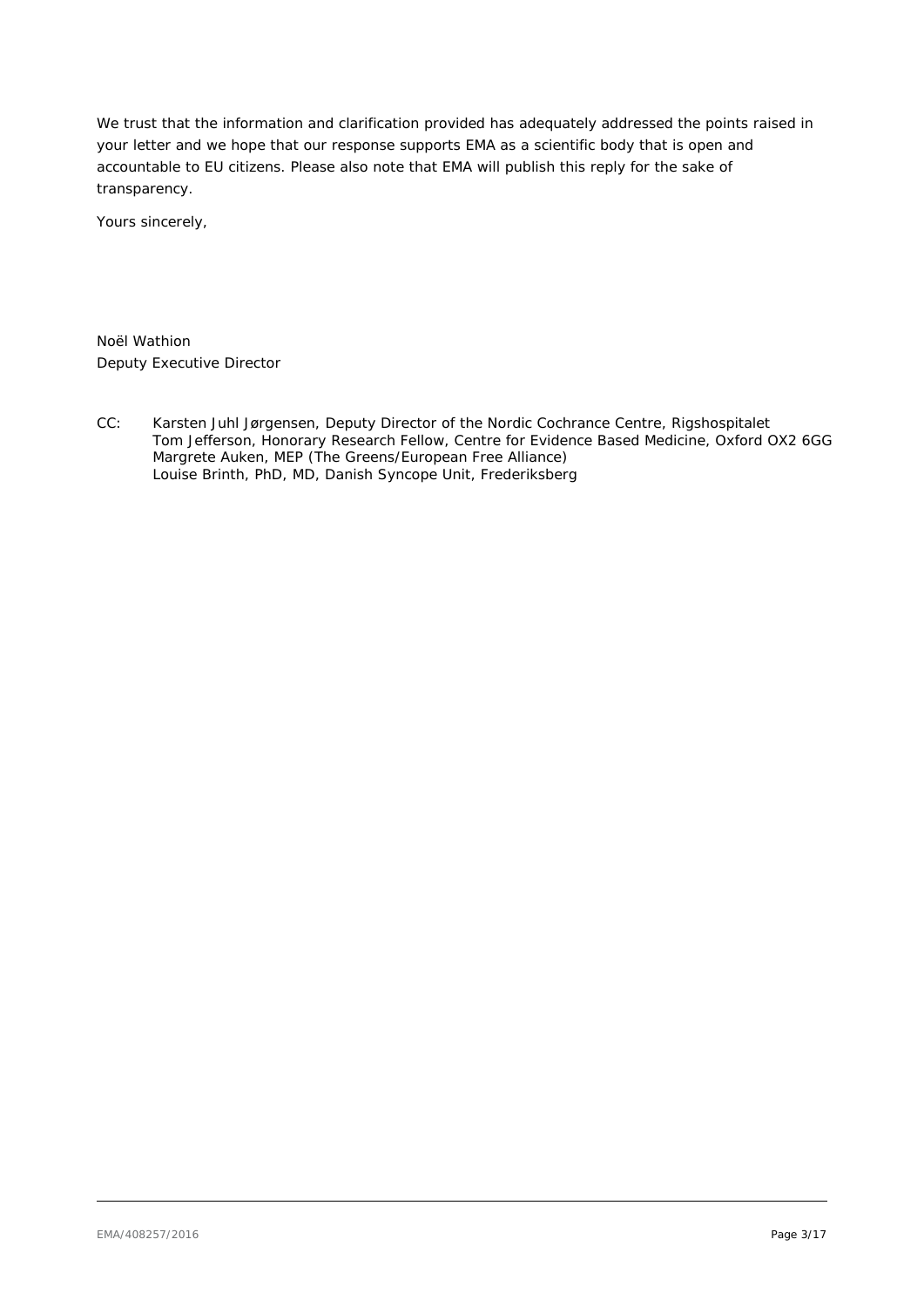We trust that the information and clarification provided has adequately addressed the points raised in your letter and we hope that our response supports EMA as a scientific body that is open and accountable to EU citizens. Please also note that EMA will publish this reply for the sake of transparency.

Yours sincerely,

Noël Wathion Deputy Executive Director

CC: Karsten Juhl Jørgensen, Deputy Director of the Nordic Cochrance Centre, Rigshospitalet Tom Jefferson, Honorary Research Fellow, Centre for Evidence Based Medicine, Oxford OX2 6GG Margrete Auken, MEP (The Greens/European Free Alliance) Louise Brinth, PhD, MD, Danish Syncope Unit, Frederiksberg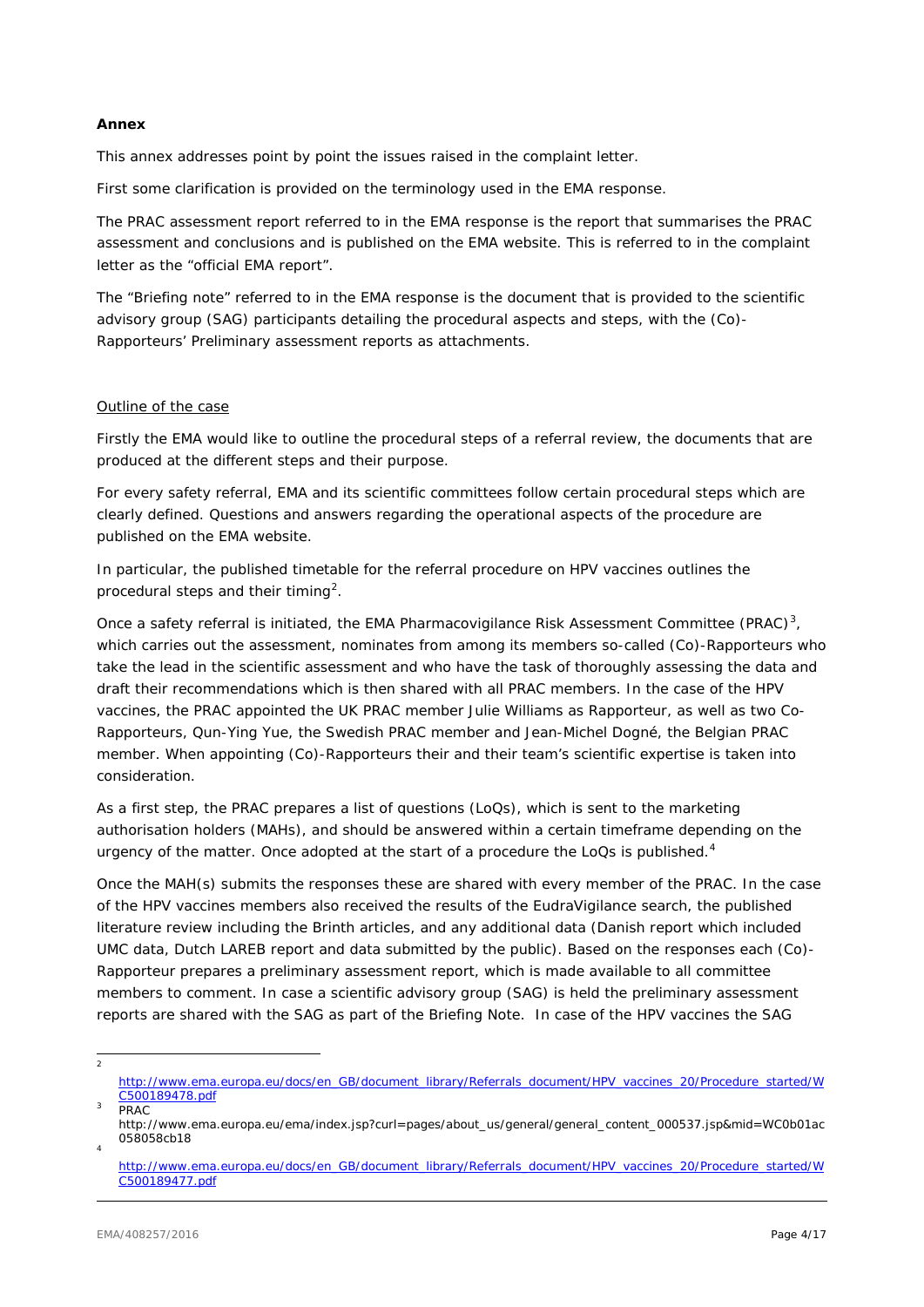### **Annex**

This annex addresses point by point the issues raised in the complaint letter.

First some clarification is provided on the terminology used in the EMA response.

The PRAC assessment report referred to in the EMA response is the report that summarises the PRAC assessment and conclusions and is published on the EMA website. This is referred to in the complaint letter as the "official EMA report".

The "Briefing note" referred to in the EMA response is the document that is provided to the scientific advisory group (SAG) participants detailing the procedural aspects and steps, with the (Co)- Rapporteurs' Preliminary assessment reports as attachments.

### Outline of the case

Firstly the EMA would like to outline the procedural steps of a referral review, the documents that are produced at the different steps and their purpose.

For every safety referral, EMA and its scientific committees follow certain procedural steps which are clearly defined. Questions and answers regarding the operational aspects of the procedure are published on the EMA website.

In particular, the published timetable for the referral procedure on HPV vaccines outlines the procedural steps and their timing<sup>[2](#page-3-0)</sup>.

Once a safety referral is initiated, the EMA Pharmacovigilance Risk Assessment Committee (PRAC)<sup>[3](#page-3-1)</sup>, which carries out the assessment, nominates from among its members so-called (Co)-Rapporteurs who take the lead in the scientific assessment and who have the task of thoroughly assessing the data and draft their recommendations which is then shared with all PRAC members. In the case of the HPV vaccines, the PRAC appointed the UK PRAC member Julie Williams as Rapporteur, as well as two Co-Rapporteurs, Qun-Ying Yue, the Swedish PRAC member and Jean-Michel Dogné, the Belgian PRAC member. When appointing (Co)-Rapporteurs their and their team's scientific expertise is taken into consideration.

As a first step, the PRAC prepares a list of questions (LoQs), which is sent to the marketing authorisation holders (MAHs), and should be answered within a certain timeframe depending on the urgency of the matter. Once adopted at the start of a procedure the LoQs is published. $4$ 

Once the MAH(s) submits the responses these are shared with every member of the PRAC. In the case of the HPV vaccines members also received the results of the EudraVigilance search, the published literature review including the Brinth articles, and any additional data (Danish report which included UMC data, Dutch LAREB report and data submitted by the public). Based on the responses each (Co)- Rapporteur prepares a preliminary assessment report, which is made available to all committee members to comment. In case a scientific advisory group (SAG) is held the preliminary assessment reports are shared with the SAG as part of the Briefing Note. In case of the HPV vaccines the SAG

<span id="page-3-0"></span>2

[http://www.ema.europa.eu/docs/en\\_GB/document\\_library/Referrals\\_document/HPV\\_vaccines\\_20/Procedure\\_started/W](http://www.ema.europa.eu/docs/en_GB/document_library/Referrals_document/HPV_vaccines_20/Procedure_started/WC500189478.pdf) [C500189478.pdf](http://www.ema.europa.eu/docs/en_GB/document_library/Referrals_document/HPV_vaccines_20/Procedure_started/WC500189478.pdf)

**PRAC** 

<span id="page-3-1"></span>http://www.ema.europa.eu/ema/index.jsp?curl=pages/about\_us/general/general\_content\_000537.jsp&mid=WC0b01ac 058058cb18 <sup>4</sup>

<span id="page-3-2"></span>[http://www.ema.europa.eu/docs/en\\_GB/document\\_library/Referrals\\_document/HPV\\_vaccines\\_20/Procedure\\_started/W](http://www.ema.europa.eu/docs/en_GB/document_library/Referrals_document/HPV_vaccines_20/Procedure_started/WC500189477.pdf) [C500189477.pdf](http://www.ema.europa.eu/docs/en_GB/document_library/Referrals_document/HPV_vaccines_20/Procedure_started/WC500189477.pdf)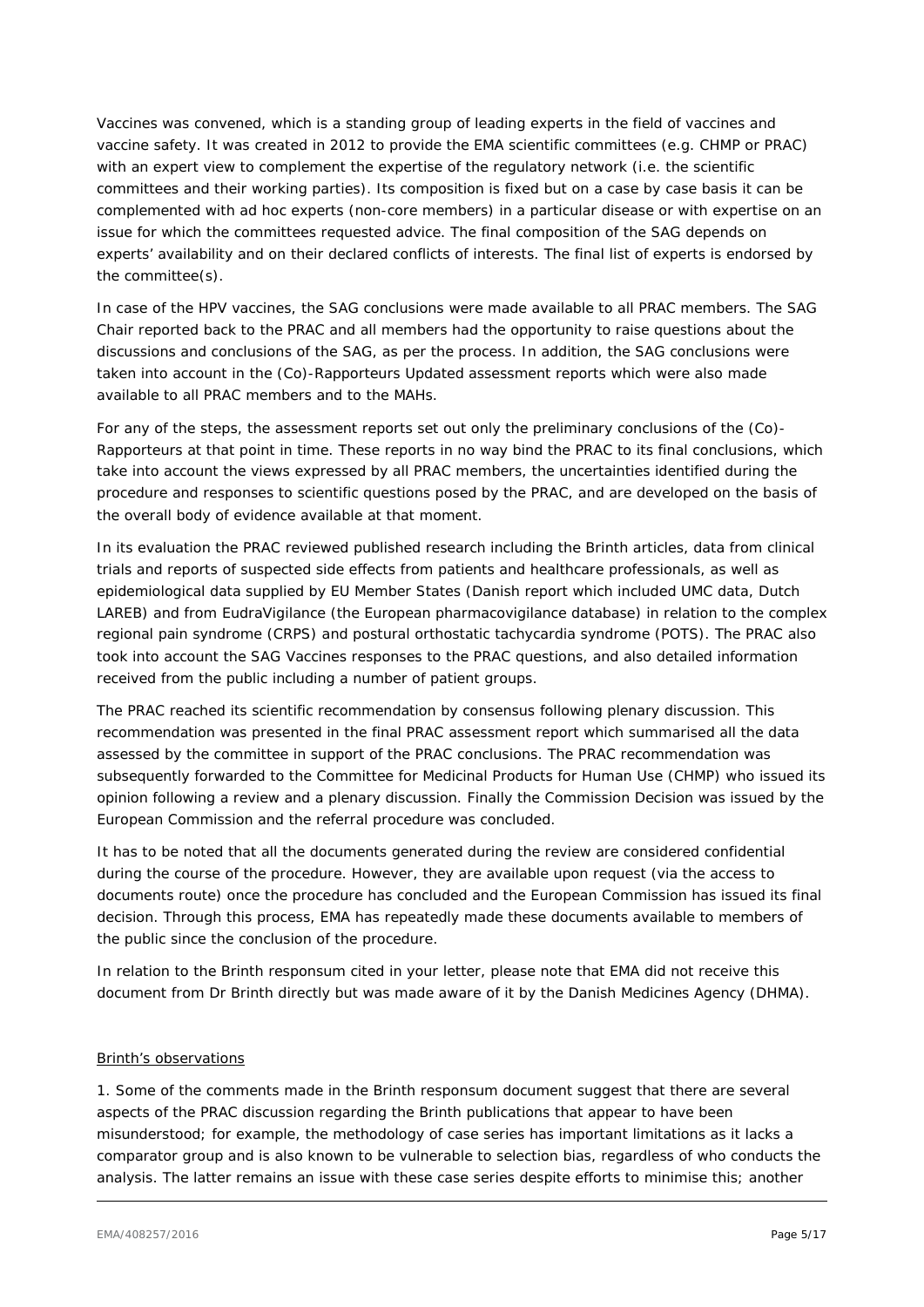Vaccines was convened, which is a standing group of leading experts in the field of vaccines and vaccine safety. It was created in 2012 to provide the EMA scientific committees (e.g. CHMP or PRAC) with an expert view to complement the expertise of the regulatory network (i.e. the scientific committees and their working parties). Its composition is fixed but on a case by case basis it can be complemented with *ad hoc* experts (non-core members) in a particular disease or with expertise on an issue for which the committees requested advice. The final composition of the SAG depends on experts' availability and on their declared conflicts of interests. The final list of experts is endorsed by the committee(s).

In case of the HPV vaccines, the SAG conclusions were made available to all PRAC members. The SAG Chair reported back to the PRAC and all members had the opportunity to raise questions about the discussions and conclusions of the SAG, as per the process. In addition, the SAG conclusions were taken into account in the (Co)-Rapporteurs Updated assessment reports which were also made available to all PRAC members and to the MAHs.

For any of the steps, the assessment reports set out only the preliminary conclusions of the (Co)- Rapporteurs at that point in time. These reports in no way bind the PRAC to its final conclusions, which take into account the views expressed by all PRAC members, the uncertainties identified during the procedure and responses to scientific questions posed by the PRAC, and are developed on the basis of the overall body of evidence available at that moment.

In its evaluation the PRAC reviewed published research including the Brinth articles, data from clinical trials and reports of suspected side effects from patients and healthcare professionals, as well as epidemiological data supplied by EU Member States (Danish report which included UMC data, Dutch LAREB) and from EudraVigilance (the European pharmacovigilance database) in relation to the complex regional pain syndrome (CRPS) and postural orthostatic tachycardia syndrome (POTS). The PRAC also took into account the SAG Vaccines responses to the PRAC questions, and also detailed information received from the public including a number of patient groups.

The PRAC reached its scientific recommendation by consensus following plenary discussion. This recommendation was presented in the final PRAC assessment report which summarised all the data assessed by the committee in support of the PRAC conclusions. The PRAC recommendation was subsequently forwarded to the Committee for Medicinal Products for Human Use (CHMP) who issued its opinion following a review and a plenary discussion. Finally the Commission Decision was issued by the European Commission and the referral procedure was concluded.

It has to be noted that all the documents generated during the review are considered confidential during the course of the procedure. However, they are available upon request (via the access to documents route) once the procedure has concluded and the European Commission has issued its final decision. Through this process, EMA has repeatedly made these documents available to members of the public since the conclusion of the procedure.

In relation to the Brinth *responsum* cited in your letter, please note that EMA did not receive this document from Dr Brinth directly but was made aware of it by the Danish Medicines Agency (DHMA).

### Brinth's observations

1. Some of the comments made in the Brinth *responsum* document suggest that there are several aspects of the PRAC discussion regarding the Brinth publications that appear to have been misunderstood; for example, the methodology of case series has important limitations as it lacks a comparator group and is also known to be vulnerable to selection bias, regardless of who conducts the analysis. The latter remains an issue with these case series despite efforts to minimise this; another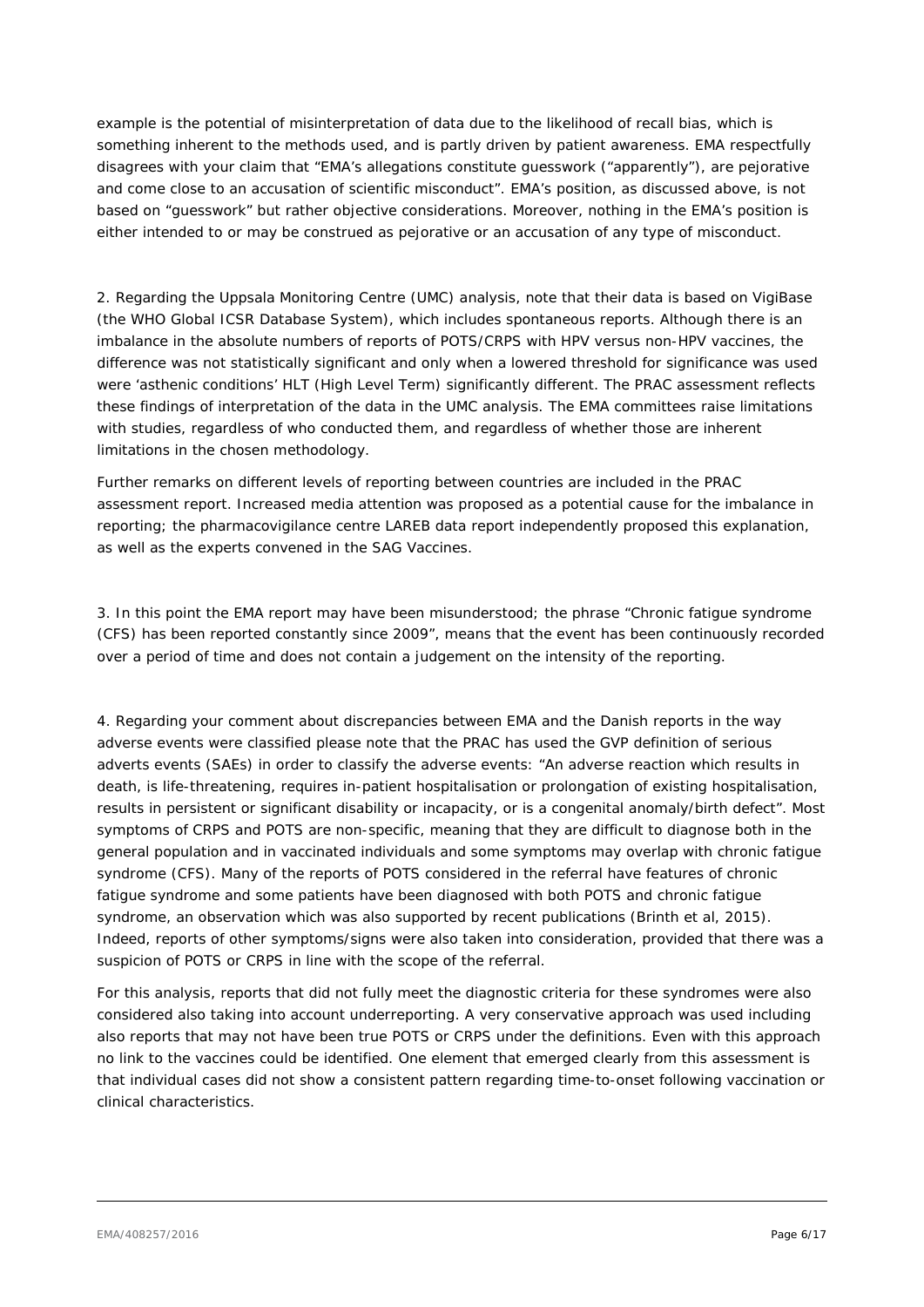example is the potential of misinterpretation of data due to the likelihood of recall bias, which is something inherent to the methods used, and is partly driven by patient awareness. EMA respectfully disagrees with your claim that "*EMA's allegations constitute guesswork ("apparently"), are pejorative and come close to an accusation of scientific misconduct*". EMA's position, as discussed above, is not based on "*guesswork"* but rather objective considerations. Moreover, nothing in the EMA's position is either intended to or may be construed as pejorative or an accusation of any type of misconduct.

2. Regarding the Uppsala Monitoring Centre (UMC) analysis, note that their data is based on VigiBase (the WHO Global ICSR Database System), which includes spontaneous reports. Although there is an imbalance in the absolute numbers of reports of POTS/CRPS with HPV versus non-HPV vaccines, the difference was not statistically significant and only when a lowered threshold for significance was used were 'asthenic conditions' HLT (High Level Term) significantly different. The PRAC assessment reflects these findings of interpretation of the data in the UMC analysis. The EMA committees raise limitations with studies, regardless of who conducted them, and regardless of whether those are inherent limitations in the chosen methodology.

Further remarks on different levels of reporting between countries are included in the PRAC assessment report. Increased media attention was proposed as a potential cause for the imbalance in reporting; the pharmacovigilance centre LAREB data report independently proposed this explanation, as well as the experts convened in the SAG Vaccines.

3. In this point the EMA report may have been misunderstood; the phrase *"Chronic fatigue syndrome (CFS) has been reported constantly since 2009"*, means that the event has been continuously recorded over a period of time and does not contain a judgement on the intensity of the reporting.

4. Regarding your comment about discrepancies between EMA and the Danish reports in the way adverse events were classified please note that the PRAC has used the GVP definition of serious adverts events (SAEs) in order to classify the adverse events: "*An adverse reaction which results in death, is life-threatening, requires in-patient hospitalisation or prolongation of existing hospitalisation, results in persistent or significant disability or incapacity, or is a congenital anomaly/birth defect*". Most symptoms of CRPS and POTS are non-specific, meaning that they are difficult to diagnose both in the general population and in vaccinated individuals and some symptoms may overlap with chronic fatigue syndrome (CFS). Many of the reports of POTS considered in the referral have features of chronic fatigue syndrome and some patients have been diagnosed with both POTS and chronic fatigue syndrome, an observation which was also supported by recent publications (Brinth et al, 2015). Indeed, reports of other symptoms/signs were also taken into consideration, provided that there was a suspicion of POTS or CRPS in line with the scope of the referral.

For this analysis, reports that did not fully meet the diagnostic criteria for these syndromes were also considered also taking into account underreporting. A very conservative approach was used including also reports that may not have been true POTS or CRPS under the definitions. Even with this approach no link to the vaccines could be identified. One element that emerged clearly from this assessment is that individual cases did not show a consistent pattern regarding time-to-onset following vaccination or clinical characteristics.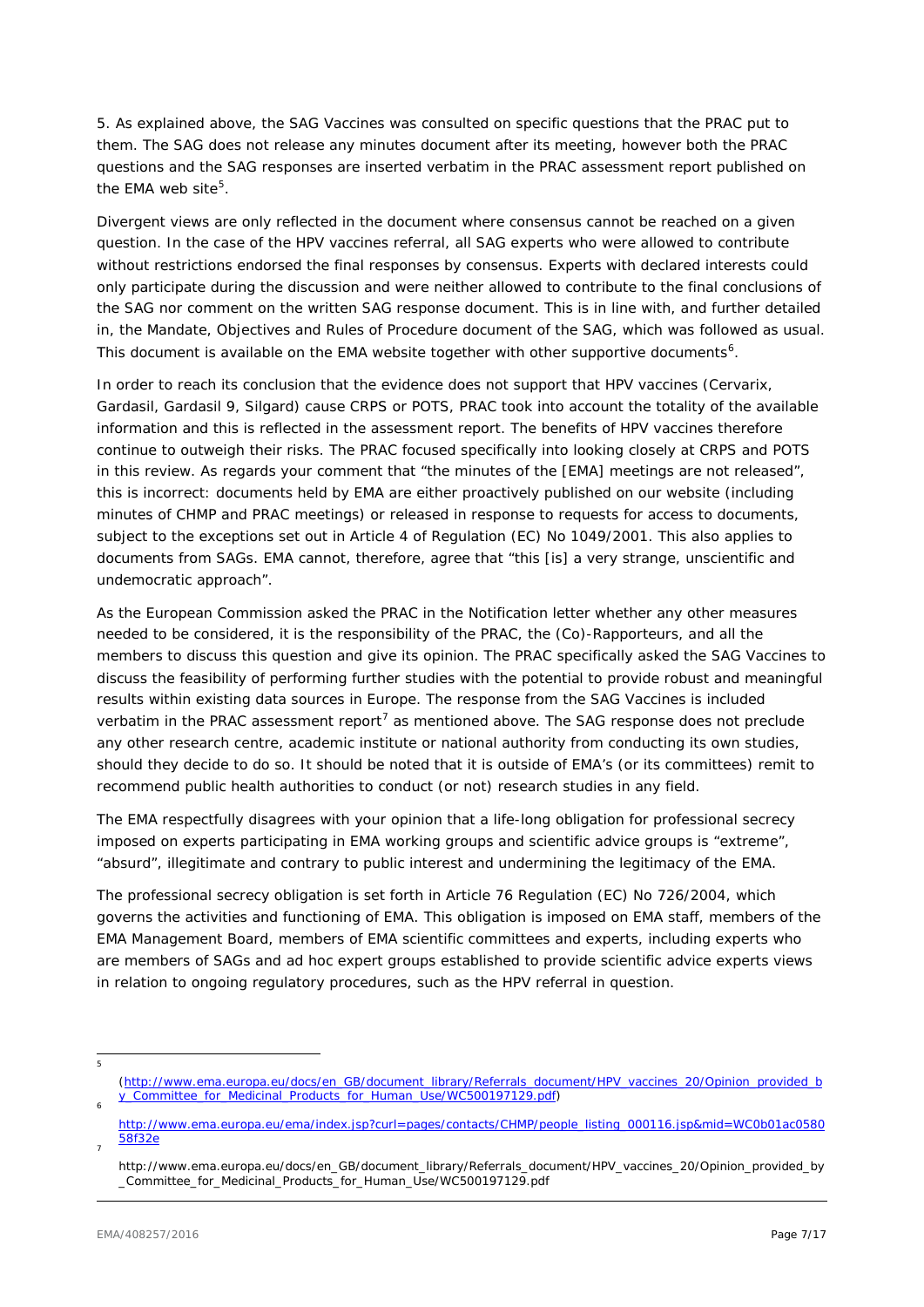5. As explained above, the SAG Vaccines was consulted on specific questions that the PRAC put to them. The SAG does not release any minutes document after its meeting, however both the PRAC questions and the SAG responses are inserted *verbatim* in the PRAC assessment report published on the EMA web site<sup>[5](#page-6-0)</sup>.

Divergent views are only reflected in the document where consensus cannot be reached on a given question. In the case of the HPV vaccines referral, all SAG experts who were allowed to contribute without restrictions endorsed the final responses by consensus. Experts with declared interests could only participate during the discussion and were neither allowed to contribute to the final conclusions of the SAG nor comment on the written SAG response document. This is in line with, and further detailed in, the Mandate, Objectives and Rules of Procedure document of the SAG, which was followed as usual. This document is available on the EMA website together with other supportive documents<sup>[6](#page-6-1)</sup>.

In order to reach its conclusion that the evidence does not support that HPV vaccines (Cervarix, Gardasil, Gardasil 9, Silgard) cause CRPS or POTS, PRAC took into account the totality of the available information and this is reflected in the assessment report. The benefits of HPV vaccines therefore continue to outweigh their risks. The PRAC focused specifically into looking closely at CRPS and POTS in this review. As regards your comment that "the minutes of the [EMA] meetings are not released", this is incorrect: documents held by EMA are either proactively published on our website (including minutes of CHMP and PRAC meetings) or released in response to requests for access to documents, subject to the exceptions set out in Article 4 of Regulation (EC) No 1049/2001. This also applies to documents from SAGs. EMA cannot, therefore, agree that "*this* [is] *a very strange, unscientific and undemocratic approach*".

As the European Commission asked the PRAC in the Notification letter whether any other measures needed to be considered, it is the responsibility of the PRAC, the (Co)-Rapporteurs, and all the members to discuss this question and give its opinion. The PRAC specifically asked the SAG Vaccines to discuss the feasibility of performing further studies with the potential to provide robust and meaningful results within existing data sources in Europe. The response from the SAG Vaccines is included *verbatim* in the PRAC assessment report<sup>[7](#page-6-2)</sup> as mentioned above. The SAG response does not preclude any other research centre, academic institute or national authority from conducting its own studies, should they decide to do so. It should be noted that it is outside of EMA's (or its committees) remit to recommend public health authorities to conduct (or not) research studies in any field.

The EMA respectfully disagrees with your opinion that a life-long obligation for professional secrecy imposed on experts participating in EMA working groups and scientific advice groups is "extreme", "absurd", illegitimate and contrary to public interest and undermining the legitimacy of the EMA.

The professional secrecy obligation is set forth in Article 76 Regulation (EC) No 726/2004, which governs the activities and functioning of EMA. This obligation is imposed on EMA staff, members of the EMA Management Board, members of EMA scientific committees and experts, including experts who are members of SAGs and *ad hoc* expert groups established to provide scientific advice experts views in relation to ongoing regulatory procedures, such as the HPV referral in question.

<span id="page-6-0"></span>5

[<sup>\(</sup>http://www.ema.europa.eu/docs/en\\_GB/document\\_library/Referrals\\_document/HPV\\_vaccines\\_20/Opinion\\_provided\\_b](http://www.ema.europa.eu/docs/en_GB/document_library/Referrals_document/HPV_vaccines_20/Opinion_provided_by_Committee_for_Medicinal_Products_for_Human_Use/WC500197129.pdf) [y\\_Committee\\_for\\_Medicinal\\_Products\\_for\\_Human\\_Use/WC500197129.pdf\)](http://www.ema.europa.eu/docs/en_GB/document_library/Referrals_document/HPV_vaccines_20/Opinion_provided_by_Committee_for_Medicinal_Products_for_Human_Use/WC500197129.pdf) 6

<span id="page-6-1"></span>[http://www.ema.europa.eu/ema/index.jsp?curl=pages/contacts/CHMP/people\\_listing\\_000116.jsp&mid=WC0b01ac0580](http://www.ema.europa.eu/ema/index.jsp?curl=pages/contacts/CHMP/people_listing_000116.jsp&mid=WC0b01ac058058f32e) [58f32e](http://www.ema.europa.eu/ema/index.jsp?curl=pages/contacts/CHMP/people_listing_000116.jsp&mid=WC0b01ac058058f32e)

<span id="page-6-2"></span>http://www.ema.europa.eu/docs/en\_GB/document\_library/Referrals\_document/HPV\_vaccines\_20/Opinion\_provided\_by \_Committee\_for\_Medicinal\_Products\_for\_Human\_Use/WC500197129.pdf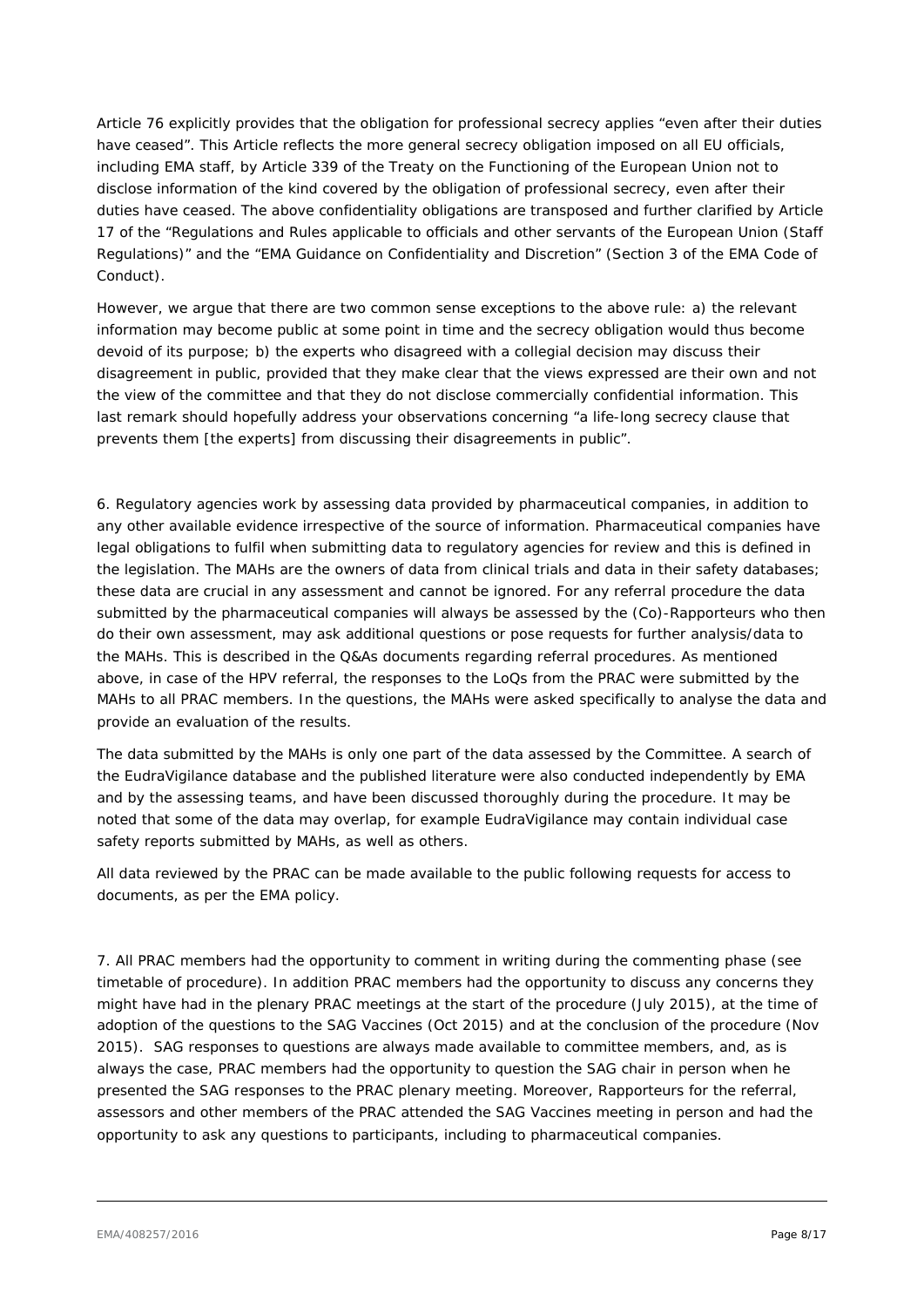Article 76 explicitly provides that the obligation for professional secrecy applies "*even after their duties have ceased*". This Article reflects the more general secrecy obligation imposed on all EU officials, including EMA staff, by Article 339 of the Treaty on the Functioning of the European Union not to disclose information of the kind covered by the obligation of professional secrecy, even after their duties have ceased. The above confidentiality obligations are transposed and further clarified by Article 17 of the "Regulations and Rules applicable to officials and other servants of the European Union (Staff Regulations)" and the "EMA Guidance on Confidentiality and Discretion" (Section 3 of the EMA Code of Conduct).

However, we argue that there are two common sense exceptions to the above rule: a) the relevant information may become public at some point in time and the secrecy obligation would thus become devoid of its purpose; b) the experts who disagreed with a collegial decision may discuss their disagreement in public, provided that they make clear that the views expressed are their own and not the view of the committee and that they do not disclose commercially confidential information. This last remark should hopefully address your observations concerning "*a life-long secrecy clause that prevents them* [the experts] *from discussing their disagreements in public*".

6. Regulatory agencies work by assessing data provided by pharmaceutical companies, in addition to any other available evidence irrespective of the source of information. Pharmaceutical companies have legal obligations to fulfil when submitting data to regulatory agencies for review and this is defined in the legislation. The MAHs are the owners of data from clinical trials and data in their safety databases; these data are crucial in any assessment and cannot be ignored. For any referral procedure the data submitted by the pharmaceutical companies will always be assessed by the (Co)-Rapporteurs who then do their own assessment, may ask additional questions or pose requests for further analysis/data to the MAHs. This is described in the Q&As documents regarding referral procedures. As mentioned above, in case of the HPV referral, the responses to the LoQs from the PRAC were submitted by the MAHs to all PRAC members. In the questions, the MAHs were asked specifically to analyse the data and provide an evaluation of the results.

The data submitted by the MAHs is only one part of the data assessed by the Committee. A search of the EudraVigilance database and the published literature were also conducted independently by EMA and by the assessing teams, and have been discussed thoroughly during the procedure. It may be noted that some of the data may overlap, for example EudraVigilance may contain individual case safety reports submitted by MAHs, as well as others.

All data reviewed by the PRAC can be made available to the public following requests for access to documents, as per the EMA policy.

7. All PRAC members had the opportunity to comment in writing during the commenting phase (see timetable of procedure). In addition PRAC members had the opportunity to discuss any concerns they might have had in the plenary PRAC meetings at the start of the procedure (July 2015), at the time of adoption of the questions to the SAG Vaccines (Oct 2015) and at the conclusion of the procedure (Nov 2015). SAG responses to questions are always made available to committee members, and, as is always the case, PRAC members had the opportunity to question the SAG chair in person when he presented the SAG responses to the PRAC plenary meeting. Moreover, Rapporteurs for the referral, assessors and other members of the PRAC attended the SAG Vaccines meeting in person and had the opportunity to ask any questions to participants, including to pharmaceutical companies.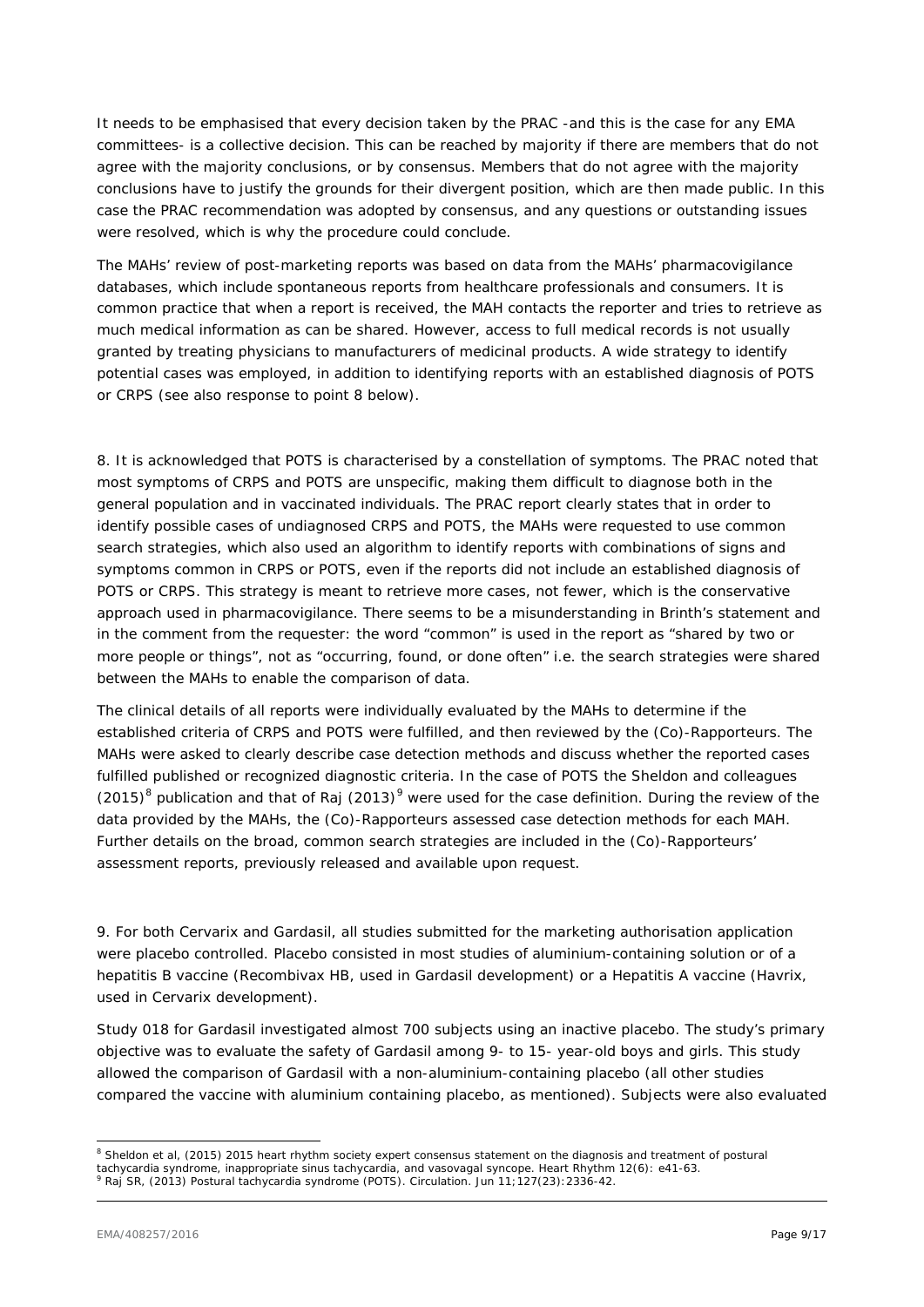It needs to be emphasised that every decision taken by the PRAC -and this is the case for any EMA committees- is a collective decision. This can be reached by majority if there are members that do not agree with the majority conclusions, or by consensus. Members that do not agree with the majority conclusions have to justify the grounds for their divergent position, which are then made public. In this case the PRAC recommendation was adopted by consensus, and any questions or outstanding issues were resolved, which is why the procedure could conclude.

The MAHs' review of post-marketing reports was based on data from the MAHs' pharmacovigilance databases, which include spontaneous reports from healthcare professionals and consumers. It is common practice that when a report is received, the MAH contacts the reporter and tries to retrieve as much medical information as can be shared. However, access to full medical records is not usually granted by treating physicians to manufacturers of medicinal products. A wide strategy to identify potential cases was employed, in addition to identifying reports with an established diagnosis of POTS or CRPS (see also response to point 8 below).

8. It is acknowledged that POTS is characterised by a constellation of symptoms. The PRAC noted that most symptoms of CRPS and POTS are unspecific, making them difficult to diagnose both in the general population and in vaccinated individuals. The PRAC report clearly states that in order to identify possible cases of undiagnosed CRPS and POTS, the MAHs were requested to use common search strategies, which also used an algorithm to identify reports with combinations of signs and symptoms common in CRPS or POTS, even if the reports did not include an established diagnosis of POTS or CRPS. This strategy is meant to retrieve more cases, not fewer, which is the conservative approach used in pharmacovigilance. There seems to be a misunderstanding in Brinth's statement and in the comment from the requester: the word "common" is used in the report as *"shared by two or more people or things"*, not as *"occurring, found, or done often"* i.e. the search strategies were shared between the MAHs to enable the comparison of data.

The clinical details of all reports were individually evaluated by the MAHs to determine if the established criteria of CRPS and POTS were fulfilled, and then reviewed by the (Co)-Rapporteurs. The MAHs were asked to clearly describe case detection methods and discuss whether the reported cases fulfilled published or recognized diagnostic criteria. In the case of POTS the Sheldon and colleagues  $(2015)^8$  $(2015)^8$  publication and that of Raj  $(2013)^9$  $(2013)^9$  were used for the case definition. During the review of the data provided by the MAHs, the (Co)-Rapporteurs assessed case detection methods for each MAH. Further details on the broad, common search strategies are included in the (Co)-Rapporteurs' assessment reports, previously released and available upon request.

9. For both Cervarix and Gardasil, all studies submitted for the marketing authorisation application were placebo controlled. Placebo consisted in most studies of aluminium-containing solution or of a hepatitis B vaccine (Recombivax HB, used in Gardasil development) or a Hepatitis A vaccine (Havrix, used in Cervarix development).

Study 018 for Gardasil investigated almost 700 subjects using an inactive placebo. The study's primary objective was to evaluate the safety of Gardasil among 9- to 15- year-old boys and girls. This study allowed the comparison of Gardasil with a non-aluminium-containing placebo (all other studies compared the vaccine with aluminium containing placebo, as mentioned). Subjects were also evaluated

<span id="page-8-0"></span><sup>&</sup>lt;sup>8</sup> Sheldon et al, (2015) 2015 heart rhythm society expert consensus statement on the diagnosis and treatment of postural tachvcardia syndrome, inappropriate sinus tachvcardia, and vasovagal syndope. Heart Rhythm 12(6): e

<span id="page-8-1"></span>tachycardia syndrome, inappropriate sinus tachycardia, and vasovagal syncope. Heart Rhythm 12(6): e41-63. 9 Raj SR, (2013) Postural tachycardia syndrome (POTS). Circulation. Jun 11;127(23):2336-42.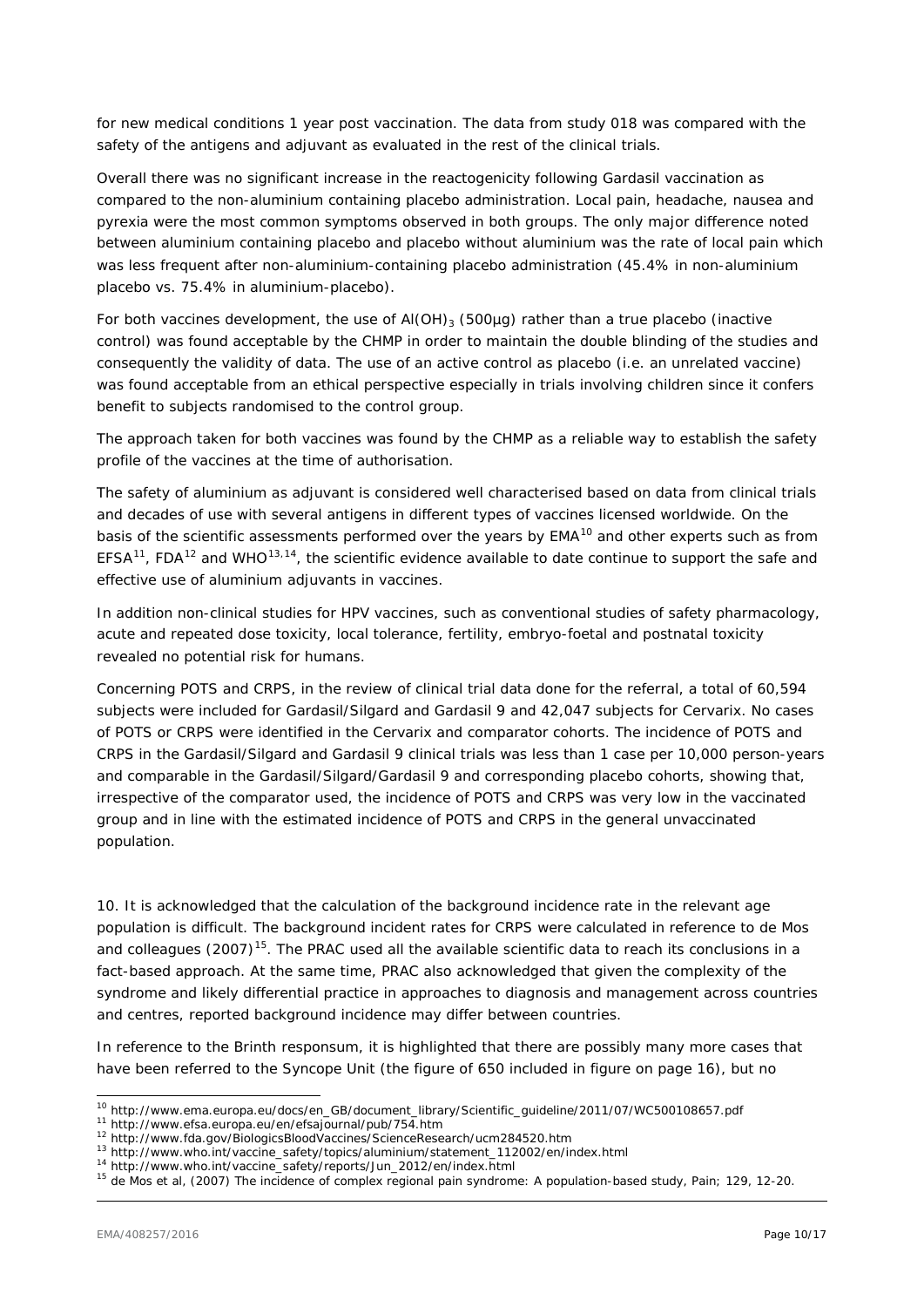for new medical conditions 1 year post vaccination. The data from study 018 was compared with the safety of the antigens and adjuvant as evaluated in the rest of the clinical trials.

Overall there was no significant increase in the reactogenicity following Gardasil vaccination as compared to the non-aluminium containing placebo administration. Local pain, headache, nausea and pyrexia were the most common symptoms observed in both groups. The only major difference noted between aluminium containing placebo and placebo without aluminium was the rate of local pain which was less frequent after non-aluminium-containing placebo administration (45.4% in non-aluminium placebo vs. 75.4% in aluminium-placebo).

For both vaccines development, the use of  $A(OH)_{3}$  (500µg) rather than a true placebo (inactive control) was found acceptable by the CHMP in order to maintain the double blinding of the studies and consequently the validity of data. The use of an active control as placebo (i.e. an unrelated vaccine) was found acceptable from an ethical perspective especially in trials involving children since it confers benefit to subjects randomised to the control group.

The approach taken for both vaccines was found by the CHMP as a reliable way to establish the safety profile of the vaccines at the time of authorisation.

The safety of aluminium as adjuvant is considered well characterised based on data from clinical trials and decades of use with several antigens in different types of vaccines licensed worldwide. On the basis of the scientific assessments performed over the years by EMA<sup>[10](#page-9-0)</sup> and other experts such as from EFSA<sup>11</sup>, FDA<sup>[12](#page-9-2)</sup> and WHO<sup>[13,](#page-9-3)[14](#page-9-4)</sup>, the scientific evidence available to date continue to support the safe and effective use of aluminium adjuvants in vaccines.

In addition non-clinical studies for HPV vaccines, such as conventional studies of safety pharmacology, acute and repeated dose toxicity, local tolerance, fertility, embryo-foetal and postnatal toxicity revealed no potential risk for humans.

Concerning POTS and CRPS, in the review of clinical trial data done for the referral, a total of 60,594 subjects were included for Gardasil/Silgard and Gardasil 9 and 42,047 subjects for Cervarix. No cases of POTS or CRPS were identified in the Cervarix and comparator cohorts. The incidence of POTS and CRPS in the Gardasil/Silgard and Gardasil 9 clinical trials was less than 1 case per 10,000 person-years and comparable in the Gardasil/Silgard/Gardasil 9 and corresponding placebo cohorts, showing that, irrespective of the comparator used, the incidence of POTS and CRPS was very low in the vaccinated group and in line with the estimated incidence of POTS and CRPS in the general unvaccinated population.

10. It is acknowledged that the calculation of the background incidence rate in the relevant age population is difficult. The background incident rates for CRPS were calculated in reference to de Mos and colleagues (2007)<sup>15</sup>. The PRAC used all the available scientific data to reach its conclusions in a fact-based approach. At the same time, PRAC also acknowledged that given the complexity of the syndrome and likely differential practice in approaches to diagnosis and management across countries and centres, reported background incidence may differ between countries.

In reference to the Brinth *responsum*, it is highlighted that there are possibly many more cases that have been referred to the Syncope Unit (the figure of 650 included in figure on page 16), but no

 <sup>10</sup> http://www.ema.europa.eu/docs/en\_GB/document\_library/Scientific\_guideline/2011/07/WC500108657.pdf

<span id="page-9-1"></span><span id="page-9-0"></span><sup>11</sup> http://www.efsa.europa.eu/en/efsajournal/pub/754.htm<br>12 http://www.fda.gov/BiologicsBloodVaccines/ScienceResearch/ucm284520.htm

<span id="page-9-3"></span><span id="page-9-2"></span><sup>13</sup> http://www.who.int/vaccine\_safety/topics/aluminium/statement\_112002/en/index.html

<sup>14</sup> http://www.who.int/vaccine\_safety/reports/Jun\_2012/en/index.html

<span id="page-9-5"></span><span id="page-9-4"></span><sup>&</sup>lt;sup>15</sup> de Mos et al, (2007) The incidence of complex regional pain syndrome: A population-based study, Pain; 129, 12-20.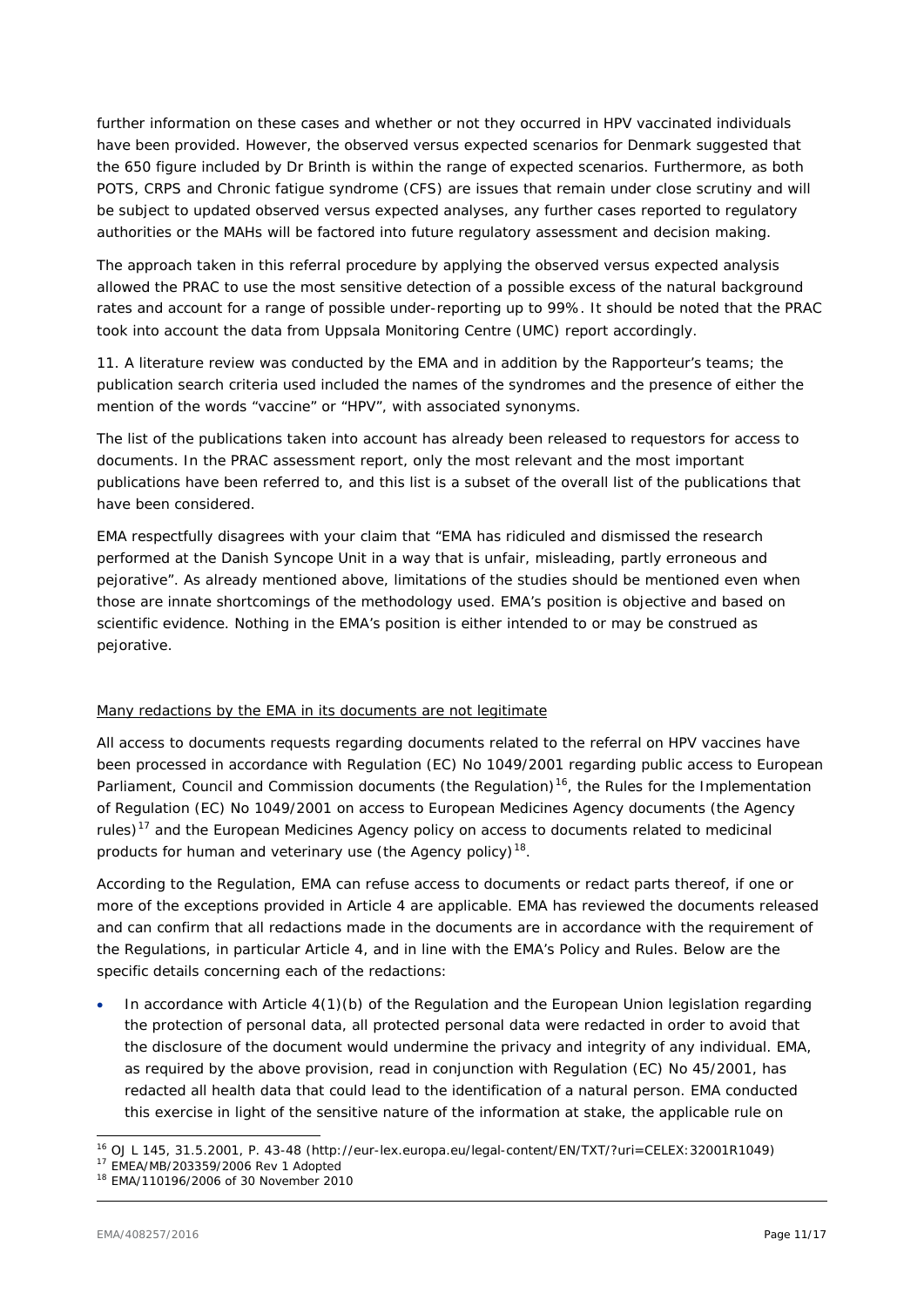further information on these cases and whether or not they occurred in HPV vaccinated individuals have been provided. However, the observed versus expected scenarios for Denmark suggested that the 650 figure included by Dr Brinth is within the range of expected scenarios. Furthermore, as both POTS, CRPS and Chronic fatigue syndrome (CFS) are issues that remain under close scrutiny and will be subject to updated observed versus expected analyses, any further cases reported to regulatory authorities or the MAHs will be factored into future regulatory assessment and decision making.

The approach taken in this referral procedure by applying the observed versus expected analysis allowed the PRAC to use the most sensitive detection of a possible excess of the natural background rates and account for a range of possible under-reporting up to 99%. It should be noted that the PRAC took into account the data from Uppsala Monitoring Centre (UMC) report accordingly.

11. A literature review was conducted by the EMA and in addition by the Rapporteur's teams; the publication search criteria used included the names of the syndromes and the presence of either the mention of the words "vaccine" or "HPV", with associated synonyms.

The list of the publications taken into account has already been released to requestors for access to documents. In the PRAC assessment report, only the most relevant and the most important publications have been referred to, and this list is a subset of the overall list of the publications that have been considered.

EMA respectfully disagrees with your claim that "*EMA has ridiculed and dismissed the research performed at the Danish Syncope Unit in a way that is unfair, misleading, partly erroneous and pejorative*". As already mentioned above, limitations of the studies should be mentioned even when those are innate shortcomings of the methodology used. EMA's position is objective and based on scientific evidence. Nothing in the EMA's position is either intended to or may be construed as pejorative.

# Many redactions by the EMA in its documents are not legitimate

All access to documents requests regarding documents related to the referral on HPV vaccines have been processed in accordance with Regulation (EC) No 1049/2001 regarding public access to European Parliament, Council and Commission documents (the Regulation)<sup>16</sup>, the Rules for the Implementation of Regulation (EC) No 1049/2001 on access to European Medicines Agency documents (the Agency rules)<sup>[17](#page-10-1)</sup> and the European Medicines Agency policy on access to documents related to medicinal products for human and veterinary use (the Agency policy)<sup>[18](#page-10-2)</sup>.

According to the Regulation, EMA can refuse access to documents or redact parts thereof, if one or more of the exceptions provided in Article 4 are applicable. EMA has reviewed the documents released and can confirm that all redactions made in the documents are in accordance with the requirement of the Regulations, in particular Article 4, and in line with the EMA's Policy and Rules. Below are the specific details concerning each of the redactions:

• In accordance with Article 4(1)(b) of the Regulation and the European Union legislation regarding the protection of personal data, all protected personal data were redacted in order to avoid that the disclosure of the document would undermine the privacy and integrity of any individual. EMA, as required by the above provision, read in conjunction with Regulation (EC) No 45/2001, has redacted all health data that could lead to the identification of a natural person. EMA conducted this exercise in light of the sensitive nature of the information at stake, the applicable rule on

<span id="page-10-0"></span> <sup>16</sup> OJ L 145, 31.5.2001, P. 43-48 (http://eur-lex.europa.eu/legal-content/EN/TXT/?uri=CELEX:32001R1049)

<span id="page-10-1"></span><sup>17</sup> EMEA/MB/203359/2006 Rev 1 Adopted

<span id="page-10-2"></span><sup>18</sup> EMA/110196/2006 of 30 November 2010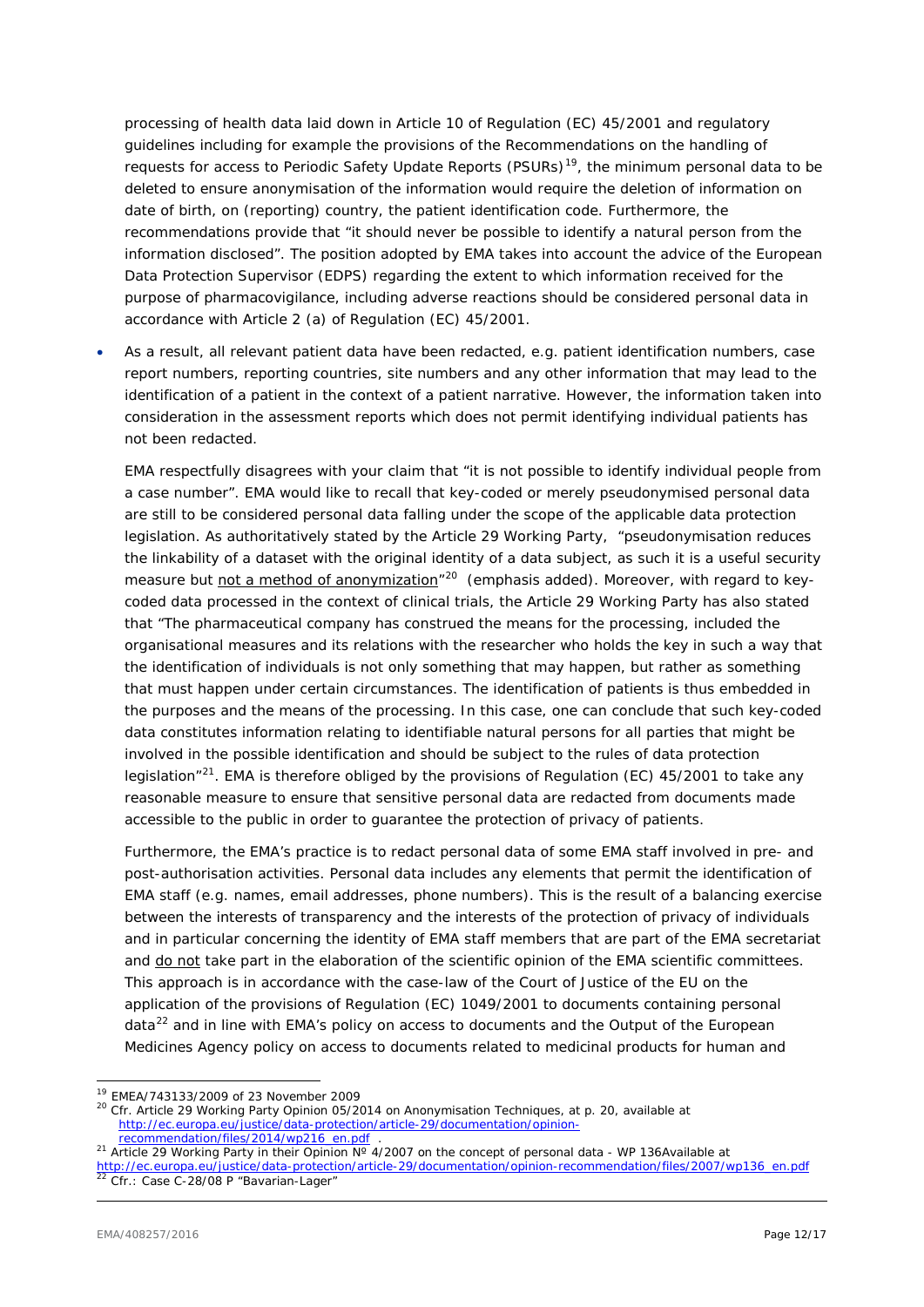processing of health data laid down in Article 10 of Regulation (EC) 45/2001 and regulatory guidelines including for example the provisions of the *Recommendations on the handling of requests for access to Periodic Safety Update Reports (PSURs)*[19](#page-11-0), the minimum personal data to be deleted to ensure anonymisation of the information would require the deletion of information on date of birth, on (reporting) country, the patient identification code. Furthermore, the recommendations provide that *"it should never be possible to identify a natural person from the information disclosed"*. The position adopted by EMA takes into account the advice of the European Data Protection Supervisor (EDPS) regarding the extent to which information received for the purpose of pharmacovigilance, including adverse reactions should be considered personal data in accordance with Article 2 (a) of Regulation (EC) 45/2001.

• As a result, all relevant patient data have been redacted, e.g. patient identification numbers, case report numbers, reporting countries, site numbers and any other information that may lead to the identification of a patient in the context of a patient narrative. However, the information taken into consideration in the assessment reports which does not permit identifying individual patients has not been redacted.

EMA respectfully disagrees with your claim that "it is not possible to identify individual people from a case number". EMA would like to recall that key-coded or merely pseudonymised personal data are still to be considered personal data falling under the scope of the applicable data protection legislation. As authoritatively stated by the Article 29 Working Party, "*pseudonymisation reduces the linkability of a dataset with the original identity of a data subject, as such it is a useful security measure but not a method of anonymization"[20](#page-11-1)* (emphasis added). Moreover, with regard to keycoded data processed in the context of clinical trials, the Article 29 Working Party has also stated that "*The pharmaceutical company has construed the means for the processing, included the organisational measures and its relations with the researcher who holds the key in such a way that the identification of individuals is not only something that may happen, but rather as something that must happen under certain circumstances. The identification of patients is thus embedded in the purposes and the means of the processing. In this case, one can conclude that such key-coded data constitutes information relating to identifiable natural persons for all parties that might be involved in the possible identification and should be subject to the rules of data protection legislation*"[21](#page-11-2). EMA is therefore obliged by the provisions of Regulation (EC) 45/2001 to take any reasonable measure to ensure that sensitive personal data are redacted from documents made accessible to the public in order to guarantee the protection of privacy of patients.

Furthermore, the EMA's practice is to redact personal data of some EMA staff involved in pre- and post-authorisation activities. Personal data includes any elements that permit the identification of EMA staff (e.g. names, email addresses, phone numbers). This is the result of a balancing exercise between the interests of transparency and the interests of the protection of privacy of individuals and in particular concerning the identity of EMA staff members that are part of the EMA secretariat and do not take part in the elaboration of the scientific opinion of the EMA scientific committees. This approach is in accordance with the case-law of the Court of Justice of the EU on the application of the provisions of Regulation (EC) 1049/2001 to documents containing personal data<sup>[22](#page-11-3)</sup> and in line with EMA's policy on access to documents and the *Output of the European Medicines Agency policy on access to documents related to medicinal products for human and* 

<span id="page-11-1"></span><span id="page-11-0"></span><sup>&</sup>lt;sup>19</sup> EMEA/743133/2009 of 23 November 2009<br><sup>20</sup> Cfr. Article 29 Working Party Opinion 05/2014 on Anonymisation Techniques, at p. 20, available at http://ec.europa.eu/justice/data-protection/article-29/documentation/opinion-<br>recommendation/files/2014/wp216\_en.pdf

<span id="page-11-2"></span><sup>&</sup>lt;sup>21</sup> Article 29 Working Party in their Opinion N° 4/2007 on the concept of personal data - WP 136Available at

<span id="page-11-3"></span>[http://ec.europa.eu/justice/data-protection/article-29/documentation/opinion-recommendation/files/2007/wp136\\_en.pdf](http://ec.europa.eu/justice/data-protection/article-29/documentation/opinion-recommendation/files/2007/wp136_en.pdf) <sup>22</sup> Cfr.: Case C-28/08 P "*Bavarian-Lager*"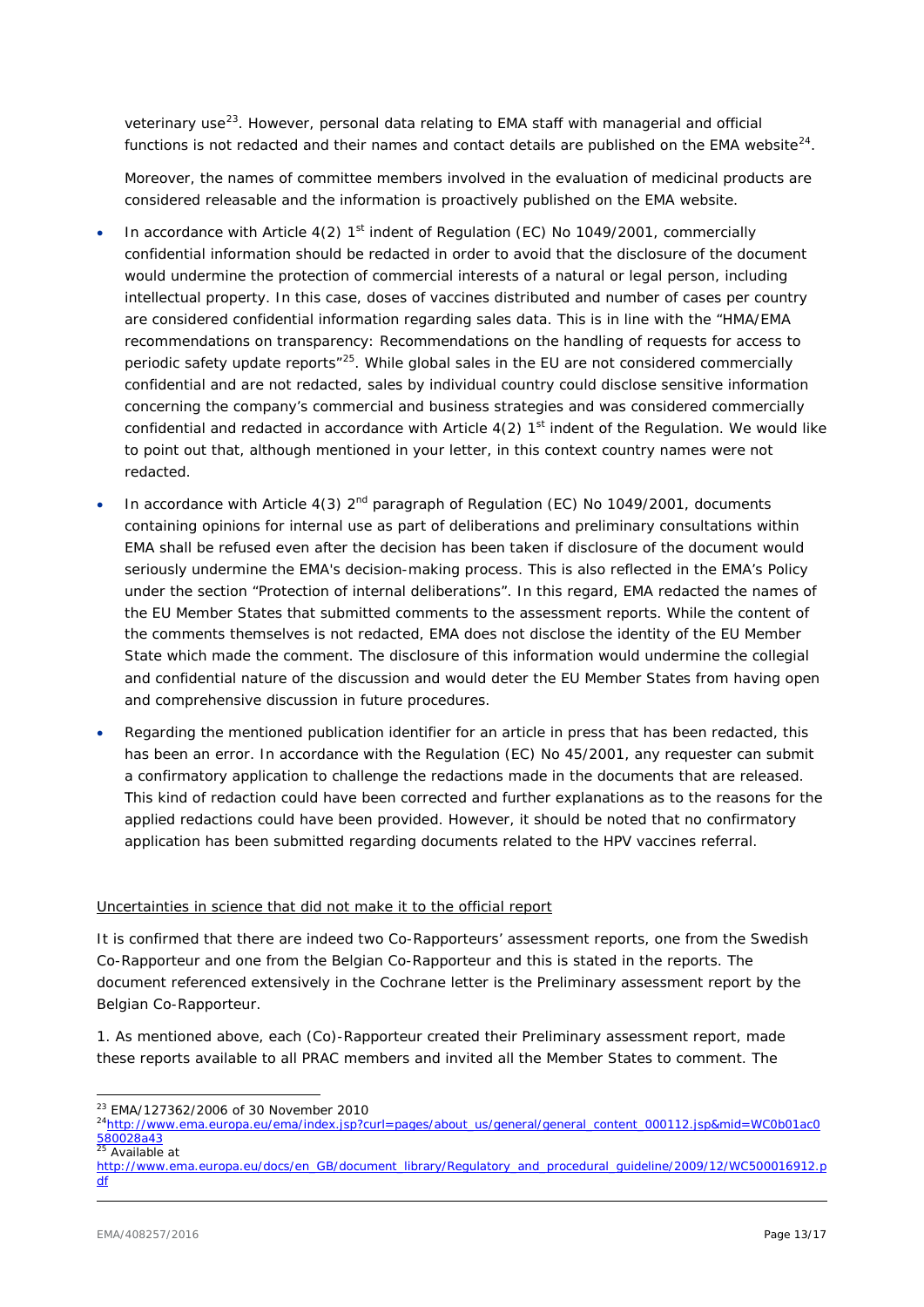*veterinary use*[23.](#page-12-0) However, personal data relating to EMA staff with managerial and official functions is not redacted and their names and contact details are published on the EMA website<sup>24</sup>.

Moreover, the names of committee members involved in the evaluation of medicinal products are considered releasable and the information is proactively published on the EMA website.

- In accordance with Article  $4(2)$  1<sup>st</sup> indent of Regulation (EC) No 1049/2001, commercially confidential information should be redacted in order to avoid that the disclosure of the document would undermine the protection of commercial interests of a natural or legal person, including intellectual property. In this case, doses of vaccines distributed and number of cases per country are considered confidential information regarding sales data. This is in line with the "HMA/EMA recommendations on transparency: Recommendations on the handling of requests for access to periodic safety update reports<sup>"25</sup>. While global sales in the EU are not considered commercially confidential and are not redacted, sales by individual country could disclose sensitive information concerning the company's commercial and business strategies and was considered commercially confidential and redacted in accordance with Article  $4(2)$  1<sup>st</sup> indent of the Regulation. We would like to point out that, although mentioned in your letter, in this context country names were not redacted.
- In accordance with Article 4(3)  $2^{nd}$  paragraph of Regulation (EC) No 1049/2001, documents containing opinions for internal use as part of deliberations and preliminary consultations within EMA shall be refused even after the decision has been taken if disclosure of the document would seriously undermine the EMA's decision-making process. This is also reflected in the EMA's Policy under the section "Protection of internal deliberations". In this regard, EMA redacted the names of the EU Member States that submitted comments to the assessment reports. While the content of the comments themselves is not redacted, EMA does not disclose the identity of the EU Member State which made the comment. The disclosure of this information would undermine the collegial and confidential nature of the discussion and would deter the EU Member States from having open and comprehensive discussion in future procedures.
- Regarding the mentioned publication identifier for an article in press that has been redacted, this has been an error. In accordance with the Regulation (EC) No 45/2001, any requester can submit a confirmatory application to challenge the redactions made in the documents that are released. This kind of redaction could have been corrected and further explanations as to the reasons for the applied redactions could have been provided. However, it should be noted that no confirmatory application has been submitted regarding documents related to the HPV vaccines referral.

### Uncertainties in science that did not make it to the official report

It is confirmed that there are indeed two Co-Rapporteurs' assessment reports, one from the Swedish Co-Rapporteur and one from the Belgian Co-Rapporteur and this is stated in the reports. The document referenced extensively in the Cochrane letter is the Preliminary assessment report by the Belgian Co-Rapporteur.

1. As mentioned above, each (Co)-Rapporteur created their Preliminary assessment report, made these reports available to all PRAC members and invited all the Member States to comment. The

 $\frac{25}{25}$  Available at

<span id="page-12-1"></span><span id="page-12-0"></span><sup>&</sup>lt;sup>23</sup> EMA/127362/2006 of 30 November 2010<br><sup>24</sup>http://www.ema.europa.eu/ema/index.jsp?curl=pages/about\_us/general/general\_content\_000112.jsp&mid=WC0b01ac0 [580028a43](http://www.ema.europa.eu/ema/index.jsp?curl=pages/about_us/general/general_content_000112.jsp&mid=WC0b01ac0580028a43)

<span id="page-12-2"></span>[http://www.ema.europa.eu/docs/en\\_GB/document\\_library/Regulatory\\_and\\_procedural\\_guideline/2009/12/WC500016912.p](http://www.ema.europa.eu/docs/en_GB/document_library/Regulatory_and_procedural_guideline/2009/12/WC500016912.pdf) [df](http://www.ema.europa.eu/docs/en_GB/document_library/Regulatory_and_procedural_guideline/2009/12/WC500016912.pdf)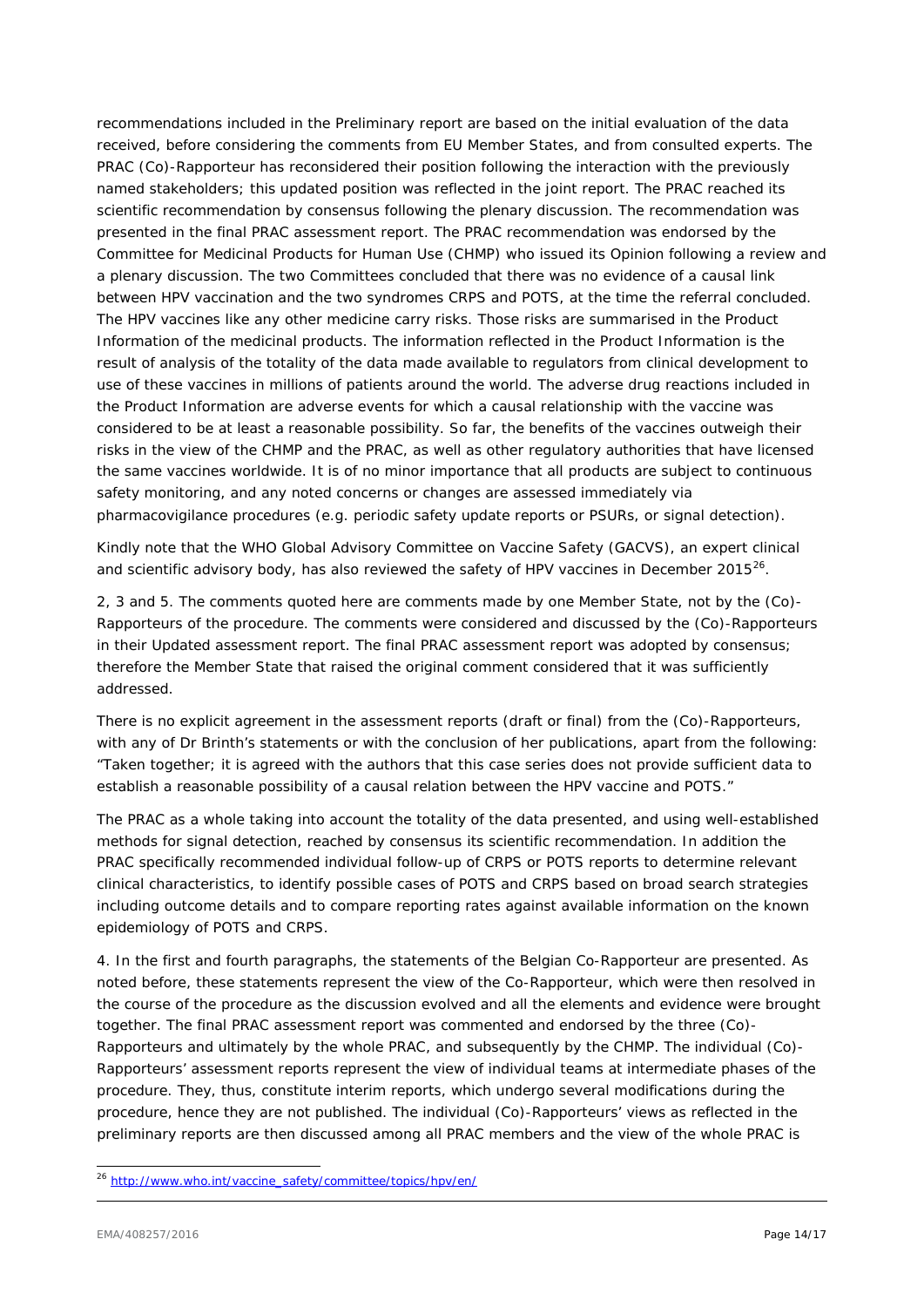recommendations included in the Preliminary report are based on the initial evaluation of the data received, before considering the comments from EU Member States, and from consulted experts. The PRAC (Co)-Rapporteur has reconsidered their position following the interaction with the previously named stakeholders; this updated position was reflected in the joint report. The PRAC reached its scientific recommendation by consensus following the plenary discussion. The recommendation was presented in the final PRAC assessment report. The PRAC recommendation was endorsed by the Committee for Medicinal Products for Human Use (CHMP) who issued its Opinion following a review and a plenary discussion. The two Committees concluded that there was no evidence of a causal link between HPV vaccination and the two syndromes CRPS and POTS, at the time the referral concluded. The HPV vaccines like any other medicine carry risks. Those risks are summarised in the Product Information of the medicinal products. The information reflected in the Product Information is the result of analysis of the totality of the data made available to regulators from clinical development to use of these vaccines in millions of patients around the world. The adverse drug reactions included in the Product Information are adverse events for which a causal relationship with the vaccine was considered to be at least a reasonable possibility. So far, the benefits of the vaccines outweigh their risks in the view of the CHMP and the PRAC, as well as other regulatory authorities that have licensed the same vaccines worldwide. It is of no minor importance that all products are subject to continuous safety monitoring, and any noted concerns or changes are assessed immediately via pharmacovigilance procedures (e.g. periodic safety update reports or PSURs, or signal detection).

Kindly note that the WHO Global Advisory Committee on Vaccine Safety (GACVS), an expert clinical and scientific advisory body, has also reviewed the safety of HPV vaccines in December 2015 $^{26}$  $^{26}$  $^{26}$ .

2, 3 and 5. The comments quoted here are comments made by one Member State, not by the (Co)- Rapporteurs of the procedure. The comments were considered and discussed by the (Co)-Rapporteurs in their Updated assessment report. The final PRAC assessment report was adopted by consensus; therefore the Member State that raised the original comment considered that it was sufficiently addressed.

There is no explicit agreement in the assessment reports (draft or final) from the (Co)-Rapporteurs, with any of Dr Brinth's statements or with the conclusion of her publications, apart from the following: "*Taken together; it is agreed with the authors that this case series does not provide sufficient data to establish a reasonable possibility of a causal relation between the HPV vaccine and POTS.*"

The PRAC as a whole taking into account the totality of the data presented, and using well-established methods for signal detection, reached by consensus its scientific recommendation. In addition the PRAC specifically recommended individual follow-up of CRPS or POTS reports to determine relevant clinical characteristics, to identify possible cases of POTS and CRPS based on broad search strategies including outcome details and to compare reporting rates against available information on the known epidemiology of POTS and CRPS.

4. In the first and fourth paragraphs, the statements of the Belgian Co-Rapporteur are presented. As noted before, these statements represent the view of the Co-Rapporteur, which were then resolved in the course of the procedure as the discussion evolved and all the elements and evidence were brought together. The final PRAC assessment report was commented and endorsed by the three (Co)- Rapporteurs and ultimately by the whole PRAC, and subsequently by the CHMP. The individual (Co)- Rapporteurs' assessment reports represent the view of individual teams at intermediate phases of the procedure. They, thus, constitute interim reports, which undergo several modifications during the procedure, hence they are not published. The individual (Co)-Rapporteurs' views as reflected in the preliminary reports are then discussed among all PRAC members and the view of the whole PRAC is

<span id="page-13-0"></span> <sup>26</sup> *[http://www.who.int/vaccine\\_safety/committee/topics/hpv/en/](http://www.who.int/vaccine_safety/committee/topics/hpv/en/)*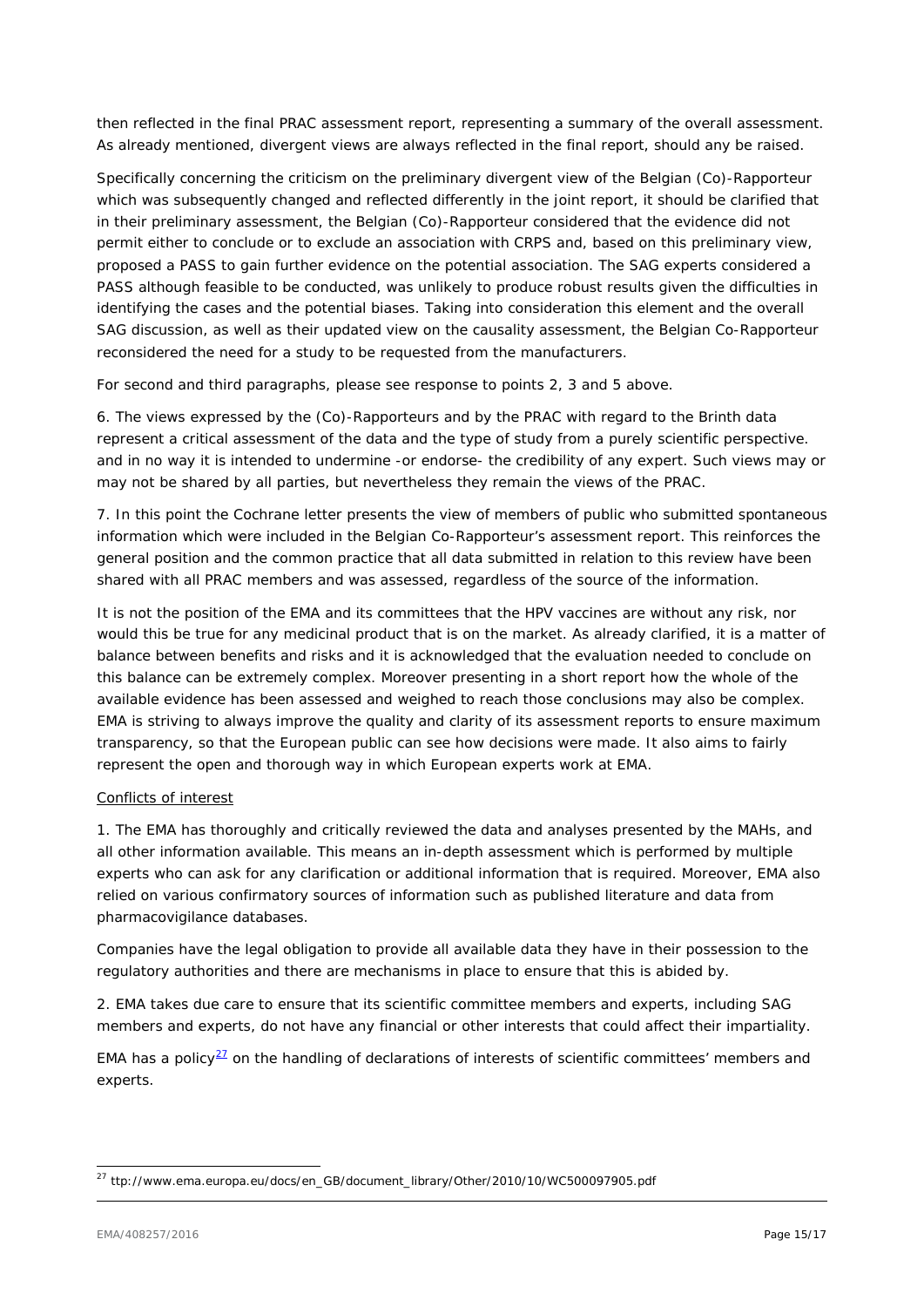then reflected in the final PRAC assessment report, representing a summary of the overall assessment. As already mentioned, divergent views are always reflected in the final report, should any be raised.

Specifically concerning the criticism on the preliminary divergent view of the Belgian (Co)-Rapporteur which was subsequently changed and reflected differently in the joint report, it should be clarified that in their preliminary assessment, the Belgian (Co)-Rapporteur considered that the evidence did not permit either to conclude or to exclude an association with CRPS and, based on this preliminary view, proposed a PASS to gain further evidence on the potential association. The SAG experts considered a PASS although feasible to be conducted, was unlikely to produce robust results given the difficulties in identifying the cases and the potential biases. Taking into consideration this element and the overall SAG discussion, as well as their updated view on the causality assessment, the Belgian Co-Rapporteur reconsidered the need for a study to be requested from the manufacturers.

For second and third paragraphs, please see response to points 2, 3 and 5 above.

6. The views expressed by the (Co)-Rapporteurs and by the PRAC with regard to the Brinth data represent a critical assessment of the data and the type of study from a purely scientific perspective. and in no way it is intended to undermine -or endorse- the credibility of any expert. Such views may or may not be shared by all parties, but nevertheless they remain the views of the PRAC.

7. In this point the Cochrane letter presents the view of members of public who submitted spontaneous information which were included in the Belgian Co-Rapporteur's assessment report. This reinforces the general position and the common practice that all data submitted in relation to this review have been shared with all PRAC members and was assessed, regardless of the source of the information.

It is not the position of the EMA and its committees that the HPV vaccines are without any risk, nor would this be true for any medicinal product that is on the market. As already clarified, it is a matter of balance between benefits and risks and it is acknowledged that the evaluation needed to conclude on this balance can be extremely complex. Moreover presenting in a short report how the whole of the available evidence has been assessed and weighed to reach those conclusions may also be complex. EMA is striving to always improve the quality and clarity of its assessment reports to ensure maximum transparency, so that the European public can see how decisions were made. It also aims to fairly represent the open and thorough way in which European experts work at EMA.

# Conflicts of interest

1. The EMA has thoroughly and critically reviewed the data and analyses presented by the MAHs, and all other information available. This means an in-depth assessment which is performed by multiple experts who can ask for any clarification or additional information that is required. Moreover, EMA also relied on various confirmatory sources of information such as published literature and data from pharmacovigilance databases.

Companies have the legal obligation to provide all available data they have in their possession to the regulatory authorities and there are mechanisms in place to ensure that this is abided by.

2. EMA takes due care to ensure that its scientific committee members and experts, including SAG members and experts, do not have any financial or other interests that could affect their impartiality.

EMA has a policy $27$  on the handling of declarations of interests of scientific committees' members and experts.

<span id="page-14-0"></span> <sup>27</sup> ttp://www.ema.europa.eu/docs/en\_GB/document\_library/Other/2010/10/WC500097905.pdf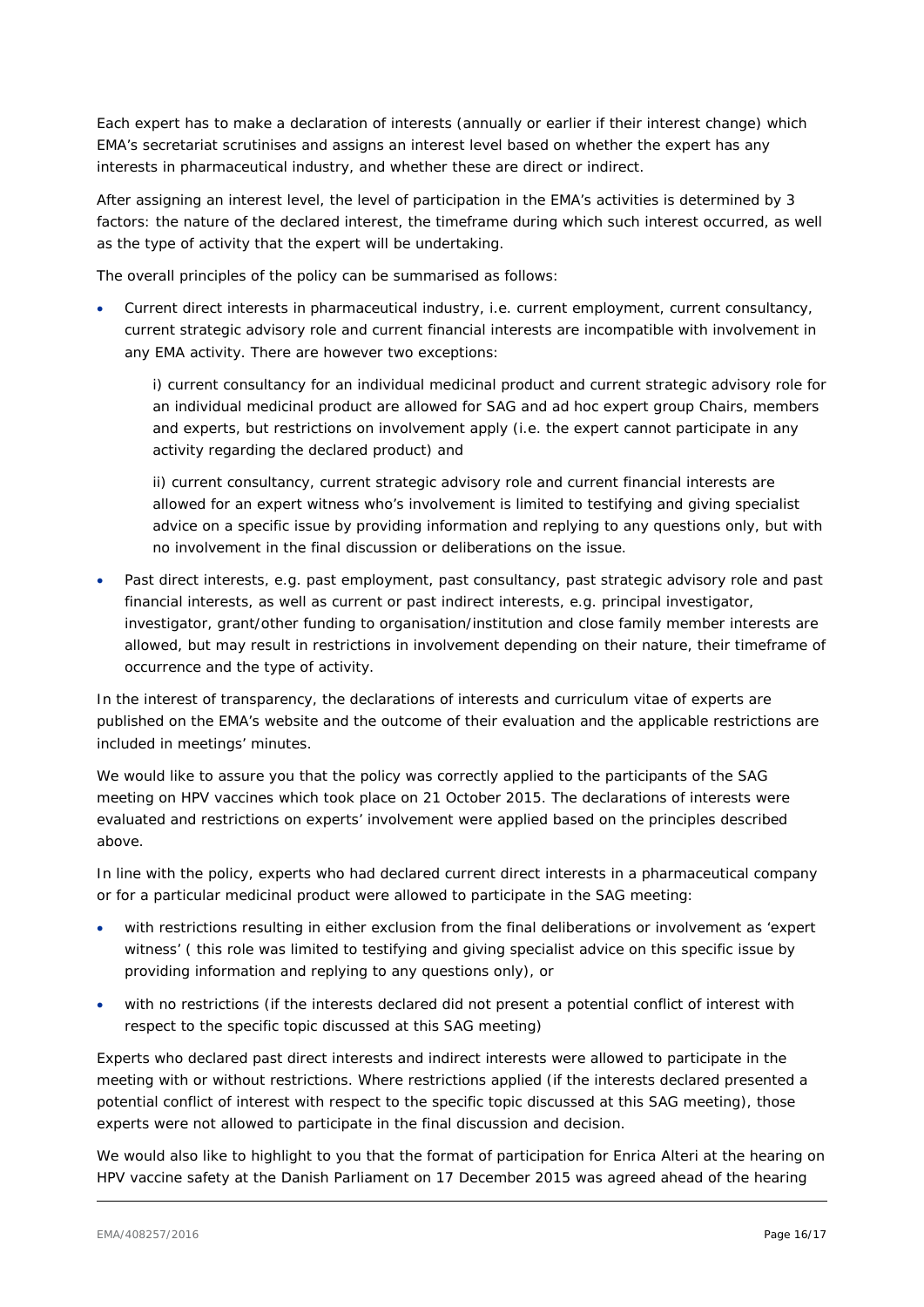Each expert has to make a declaration of interests (annually or earlier if their interest change) which EMA's secretariat scrutinises and assigns an interest level based on whether the expert has any interests in pharmaceutical industry, and whether these are direct or indirect.

After assigning an interest level, the level of participation in the EMA's activities is determined by 3 factors: the nature of the declared interest, the timeframe during which such interest occurred, as well as the type of activity that the expert will be undertaking.

The overall principles of the policy can be summarised as follows:

• Current direct interests in pharmaceutical industry, i.e. current employment, current consultancy, current strategic advisory role and current financial interests are incompatible with involvement in any EMA activity. There are however two exceptions:

i) current consultancy for an individual medicinal product and current strategic advisory role for an individual medicinal product are allowed for SAG and *ad hoc* expert group Chairs, members and experts, but restrictions on involvement apply (i.e. the expert cannot participate in any activity regarding the declared product) and

ii) current consultancy, current strategic advisory role and current financial interests are allowed for an expert witness who's involvement is limited to testifying and giving specialist advice on a specific issue by providing information and replying to any questions only, but with no involvement in the final discussion or deliberations on the issue.

Past direct interests, e.g. past employment, past consultancy, past strategic advisory role and past financial interests, as well as current or past indirect interests, e.g. principal investigator, investigator, grant/other funding to organisation/institution and close family member interests are allowed, but may result in restrictions in involvement depending on their nature, their timeframe of occurrence and the type of activity.

In the interest of transparency, the declarations of interests and curriculum vitae of experts are published on the EMA's website and the outcome of their evaluation and the applicable restrictions are included in meetings' minutes.

We would like to assure you that the policy was correctly applied to the participants of the SAG meeting on HPV vaccines which took place on 21 October 2015. The declarations of interests were evaluated and restrictions on experts' involvement were applied based on the principles described above.

In line with the policy, experts who had declared current direct interests in a pharmaceutical company or for a particular medicinal product were allowed to participate in the SAG meeting:

- with restrictions resulting in either exclusion from the final deliberations or involvement as 'expert witness' ( this role was limited to testifying and giving specialist advice on this specific issue by providing information and replying to any questions only), or
- with no restrictions (if the interests declared did not present a potential conflict of interest with respect to the specific topic discussed at this SAG meeting)

Experts who declared past direct interests and indirect interests were allowed to participate in the meeting with or without restrictions. Where restrictions applied (if the interests declared presented a potential conflict of interest with respect to the specific topic discussed at this SAG meeting), those experts were not allowed to participate in the final discussion and decision.

We would also like to highlight to you that the format of participation for Enrica Alteri at the hearing on HPV vaccine safety at the Danish Parliament on 17 December 2015 was agreed ahead of the hearing